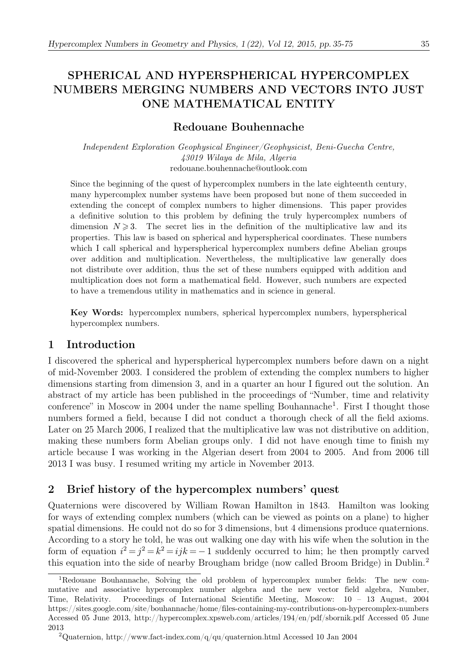# SPHERICAL AND HYPERSPHERICAL HYPERCOMPLEX NUMBERS MERGING NUMBERS AND VECTORS INTO JUST ONE MATHEMATICAL ENTITY

# Redouane Bouhennache

Independent Exploration Geophysical Engineer/Geophysicist, Beni-Guecha Centre, 43019 Wilaya de Mila, Algeria redouane.bouhennache@outlook.com

Since the beginning of the quest of hypercomplex numbers in the late eighteenth century, many hypercomplex number systems have been proposed but none of them succeeded in extending the concept of complex numbers to higher dimensions. This paper provides a definitive solution to this problem by defining the truly hypercomplex numbers of dimension  $N \geq 3$ . The secret lies in the definition of the multiplicative law and its properties. This law is based on spherical and hyperspherical coordinates. These numbers which I call spherical and hyperspherical hypercomplex numbers define Abelian groups over addition and multiplication. Nevertheless, the multiplicative law generally does not distribute over addition, thus the set of these numbers equipped with addition and multiplication does not form a mathematical field. However, such numbers are expected to have a tremendous utility in mathematics and in science in general.

Key Words: hypercomplex numbers, spherical hypercomplex numbers, hyperspherical hypercomplex numbers.

# 1 Introduction

I discovered the spherical and hyperspherical hypercomplex numbers before dawn on a night of mid-November 2003. I considered the problem of extending the complex numbers to higher dimensions starting from dimension 3, and in a quarter an hour I figured out the solution. An abstract of my article has been published in the proceedings of "Number, time and relativity conference" in Moscow in 2004 under the name spelling Bouhannache<sup>1</sup>. First I thought those numbers formed a field, because I did not conduct a thorough check of all the field axioms. Later on 25 March 2006, I realized that the multiplicative law was not distributive on addition, making these numbers form Abelian groups only. I did not have enough time to finish my article because I was working in the Algerian desert from 2004 to 2005. And from 2006 till 2013 I was busy. I resumed writing my article in November 2013.

# 2 Brief history of the hypercomplex numbers' quest

Quaternions were discovered by William Rowan Hamilton in 1843. Hamilton was looking for ways of extending complex numbers (which can be viewed as points on a plane) to higher spatial dimensions. He could not do so for 3 dimensions, but 4 dimensions produce quaternions. According to a story he told, he was out walking one day with his wife when the solution in the form of equation  $i^2 = j^2 = k^2 = ijk = -1$  suddenly occurred to him; he then promptly carved this equation into the side of nearby Brougham bridge (now called Broom Bridge) in Dublin.<sup>2</sup>

<sup>1</sup>Redouane Bouhannache, Solving the old problem of hypercomplex number fields: The new commutative and associative hypercomplex number algebra and the new vector field algebra, Number, Time, Relativity. Proceedings of International Scientific Meeting, Moscow: 10 – 13 August, 2004 https://sites.google.com/site/bouhannache/home/files-containing-my-contributions-on-hypercomplex-numbers Accessed 05 June 2013, http://hypercomplex.xpsweb.com/articles/194/en/pdf/sbornik.pdf Accessed 05 June 2013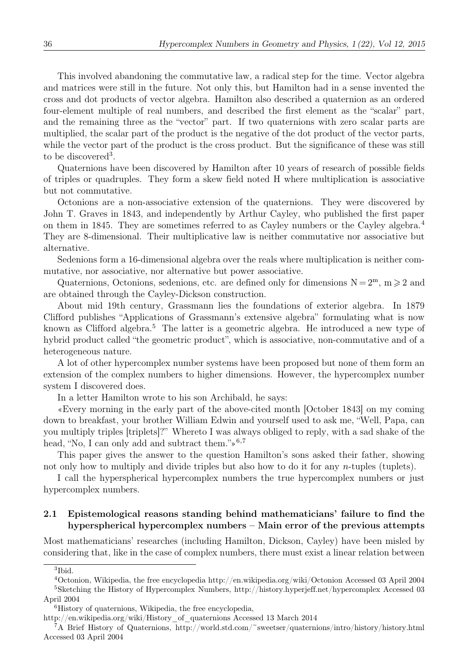This involved abandoning the commutative law, a radical step for the time. Vector algebra and matrices were still in the future. Not only this, but Hamilton had in a sense invented the cross and dot products of vector algebra. Hamilton also described a quaternion as an ordered four-element multiple of real numbers, and described the first element as the "scalar" part, and the remaining three as the "vector" part. If two quaternions with zero scalar parts are multiplied, the scalar part of the product is the negative of the dot product of the vector parts, while the vector part of the product is the cross product. But the significance of these was still to be discovered<sup>3</sup>.

Quaternions have been discovered by Hamilton after 10 years of research of possible fields of triples or quadruples. They form a skew field noted H where multiplication is associative but not commutative.

Octonions are a non-associative extension of the quaternions. They were discovered by John T. Graves in 1843, and independently by Arthur Cayley, who published the first paper on them in 1845. They are sometimes referred to as Cayley numbers or the Cayley algebra.<sup>4</sup> They are 8-dimensional. Their multiplicative law is neither commutative nor associative but alternative.

Sedenions form a 16-dimensional algebra over the reals where multiplication is neither commutative, nor associative, nor alternative but power associative.

Quaternions, Octonions, sedenions, etc. are defined only for dimensions  $N = 2<sup>m</sup>$ ,  $m \ge 2$  and are obtained through the Cayley-Dickson construction.

About mid 19th century, Grassmann lies the foundations of exterior algebra. In 1879 Clifford publishes "Applications of Grassmann's extensive algebra" formulating what is now known as Clifford algebra.<sup>5</sup> The latter is a geometric algebra. He introduced a new type of hybrid product called "the geometric product", which is associative, non-commutative and of a heterogeneous nature.

A lot of other hypercomplex number systems have been proposed but none of them form an extension of the complex numbers to higher dimensions. However, the hypercomplex number system I discovered does.

In a letter Hamilton wrote to his son Archibald, he says:

«Every morning in the early part of the above-cited month [October 1843] on my coming down to breakfast, your brother William Edwin and yourself used to ask me, "Well, Papa, can you multiply triples [triplets]?" Whereto I was always obliged to reply, with a sad shake of the head, "No, I can only add and subtract them." $\frac{1}{2}$ <sup>6,7</sup>

This paper gives the answer to the question Hamilton's sons asked their father, showing not only how to multiply and divide triples but also how to do it for any *n*-tuples (tuplets).

I call the hyperspherical hypercomplex numbers the true hypercomplex numbers or just hypercomplex numbers.

## 2.1 Epistemological reasons standing behind mathematicians' failure to find the hyperspherical hypercomplex numbers – Main error of the previous attempts

Most mathematicians' researches (including Hamilton, Dickson, Cayley) have been misled by considering that, like in the case of complex numbers, there must exist a linear relation between

<sup>3</sup>Ibid.

<sup>4</sup>Octonion, Wikipedia, the free encyclopedia http://en.wikipedia.org/wiki/Octonion Accessed 03 April 2004 <sup>5</sup>Sketching the History of Hypercomplex Numbers, http://history.hyperjeff.net/hypercomplex Accessed 03 April 2004

<sup>6</sup>History of quaternions, Wikipedia, the free encyclopedia,

http://en.wikipedia.org/wiki/History\_of\_quaternions Accessed 13 March 2014

<sup>7</sup>A Brief History of Quaternions, http://world.std.com/~sweetser/quaternions/intro/history/history.html Accessed 03 April 2004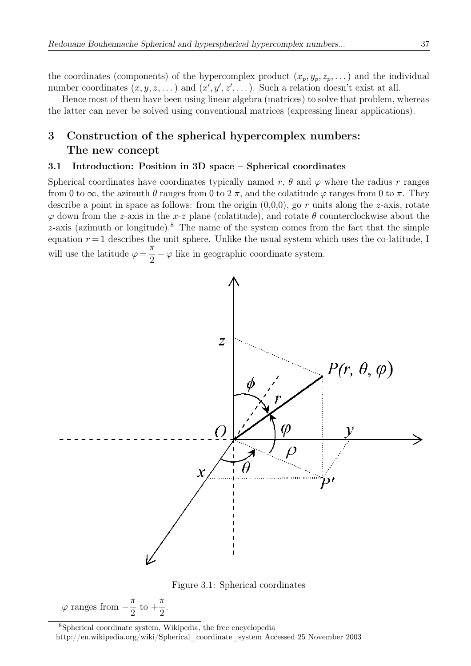the coordinates (components) of the hypercomplex product  $(x_p, y_p, z_p, \dots)$  and the individual number coordinates  $(x, y, z, ...)$  and  $(x', y', z', ...)$ . Such a relation doesn't exist at all.

Hence most of them have been using linear algebra (matrices) to solve that problem, whereas the latter can never be solved using conventional matrices (expressing linear applications).

# 3 Construction of the spherical hypercomplex numbers: The new concept

### 3.1 Introduction: Position in 3D space – Spherical coordinates

Spherical coordinates have coordinates typically named r,  $\theta$  and  $\varphi$  where the radius r ranges from 0 to  $\infty$ , the azimuth  $\theta$  ranges from 0 to 2  $\pi$ , and the colatitude  $\varphi$  ranges from 0 to  $\pi$ . They describe a point in space as follows: from the origin  $(0,0,0)$ , go r units along the z-axis, rotate  $\varphi$  down from the z-axis in the x-z plane (colatitude), and rotate  $\theta$  counterclockwise about the  $z$ -axis (azimuth or longitude).<sup>8</sup> The name of the system comes from the fact that the simple equation  $r = 1$  describes the unit sphere. Unlike the usual system which uses the co-latitude, I will use the latitude  $\varphi = \frac{\pi}{2}$  $\frac{\pi}{2} - \varphi$  like in geographic coordinate system.





 $\varphi$  ranges from  $-\frac{\pi}{2}$  $\mathrm{to}$  + π 2 .

<sup>8</sup>Spherical coordinate system, Wikipedia, the free encyclopedia http://en.wikipedia.org/wiki/Spherical\_coordinate\_system Accessed 25 November 2003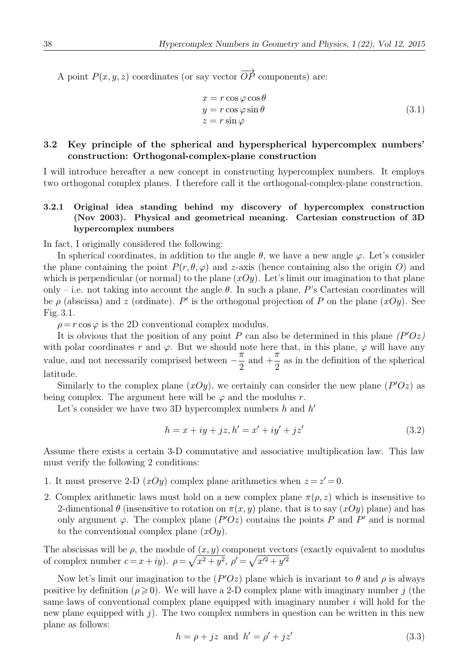A point  $P(x, y, z)$  coordinates (or say vector  $\overrightarrow{OP}$  components) are:

$$
x = r \cos \varphi \cos \theta \n y = r \cos \varphi \sin \theta \n z = r \sin \varphi
$$
\n(3.1)

## 3.2 Key principle of the spherical and hyperspherical hypercomplex numbers' construction: Orthogonal-complex-plane construction

I will introduce hereafter a new concept in constructing hypercomplex numbers. It employs two orthogonal complex planes. I therefore call it the orthogonal-complex-plane construction.

## 3.2.1 Original idea standing behind my discovery of hypercomplex construction (Nov 2003). Physical and geometrical meaning. Cartesian construction of 3D hypercomplex numbers

In fact, I originally considered the following:

In spherical coordinates, in addition to the angle  $\theta$ , we have a new angle  $\varphi$ . Let's consider the plane containing the point  $P(r, \theta, \varphi)$  and z-axis (hence containing also the origin O) and which is perpendicular (or normal) to the plane  $(xOy)$ . Let's limit our imagination to that plane only – i.e. not taking into account the angle  $\theta$ . In such a plane, P's Cartesian coordinates will be  $\rho$  (abscissa) and z (ordinate). P' is the orthogonal projection of P on the plane  $(xOy)$ . See Fig. 3.1.

 $\rho = r \cos \varphi$  is the 2D conventional complex modulus.

It is obvious that the position of any point P can also be determined in this plane  $(P'Oz)$ with polar coordinates r and  $\varphi$ . But we should note here that, in this plane,  $\varphi$  will have any value, and not necessarily comprised between  $-\frac{\pi}{2}$ and  $+$  $\bar{\pi}$  $\frac{\pi}{2}$  as in the definition of the spherical latitude.

Similarly to the complex plane  $(xOy)$ , we certainly can consider the new plane  $(P'Oz)$  as being complex. The argument here will be  $\varphi$  and the modulus r.

Let's consider we have two 3D hypercomplex numbers h and  $h'$ 

$$
h = x + iy + jz, h' = x' + iy' + jz'
$$
\n(3.2)

Assume there exists a certain 3-D commutative and associative multiplication law. This law must verify the following 2 conditions:

- 1. It must preserve 2-D  $(xOy)$  complex plane arithmetics when  $z = z' = 0$ .
- 2. Complex arithmetic laws must hold on a new complex plane  $\pi(\rho, z)$  which is insensitive to 2-dimentional  $\theta$  (insensitive to rotation on  $\pi(x, y)$  plane, that is to say  $(xOy)$  plane) and has only argument  $\varphi$ . The complex plane  $(P'Oz)$  contains the points P and P' and is normal to the conventional complex plane  $(xOy)$ .

The abscissas will be  $\rho$ , the module of  $(x, y)$  component vectors (exactly equivalent to modulus of complex number  $c = x + iy$ .  $\rho = \sqrt{x^2 + y^2}$ ,  $\rho' = \sqrt{x'^2 + y'^2}$ 

Now let's limit our imagination to the  $(P'Oz)$  plane which is invariant to  $\theta$  and  $\rho$  is always positive by definition ( $\rho \geq 0$ ). We will have a 2-D complex plane with imaginary number j (the same laws of conventional complex plane equipped with imaginary number  $i$  will hold for the new plane equipped with  $j$ . The two complex numbers in question can be written in this new plane as follows:

$$
h = \rho + jz \text{ and } h' = \rho' + jz'
$$
\n(3.3)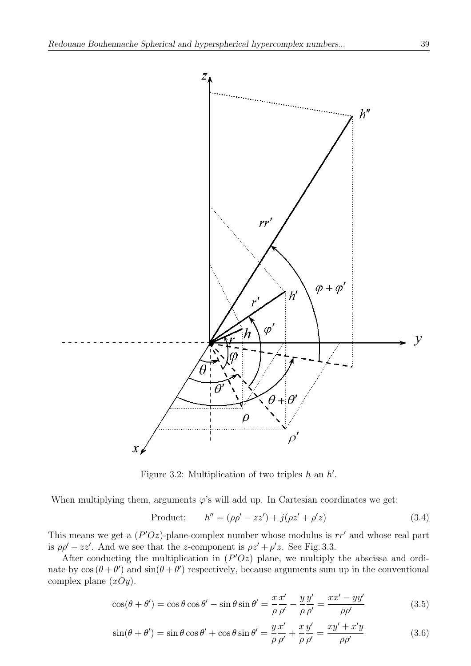

Figure 3.2: Multiplication of two triples  $h$  an  $h'$ .

When multiplying them, arguments  $\varphi$ 's will add up. In Cartesian coordinates we get:

Product: 
$$
h'' = (\rho \rho' - zz') + j(\rho z' + \rho' z)
$$
 (3.4)

This means we get a  $(P'Oz)$ -plane-complex number whose modulus is  $rr'$  and whose real part is  $\rho \rho' - zz'$ . And we see that the z-component is  $\rho z' + \rho' z$ . See Fig. 3.3.

After conducting the multiplication in  $(P'Oz)$  plane, we multiply the abscissa and ordinate by  $\cos(\theta + \theta')$  and  $\sin(\theta + \theta')$  respectively, because arguments sum up in the conventional complex plane  $(xOy)$ .

$$
\cos(\theta + \theta') = \cos\theta\cos\theta' - \sin\theta\sin\theta' = \frac{x}{\rho}\frac{x'}{\rho'} - \frac{y}{\rho}\frac{y'}{\rho'} = \frac{xx' - yy'}{\rho\rho'}
$$
(3.5)

$$
\sin(\theta + \theta') = \sin\theta\cos\theta' + \cos\theta\sin\theta' = \frac{y}{\rho}\frac{x'}{\rho'} + \frac{x}{\rho}\frac{y'}{\rho'} = \frac{xy' + x'y}{\rho\rho'}
$$
(3.6)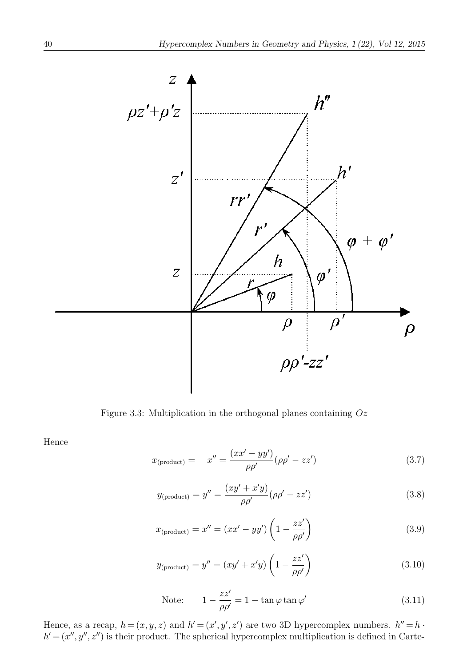

Figure 3.3: Multiplication in the orthogonal planes containing  $Oz$ 

Hence

$$
x_{(\text{product})} = x'' = \frac{(xx' - yy')}{\rho \rho'} (\rho \rho' - zz') \tag{3.7}
$$

$$
y_{\text{(product)}} = y'' = \frac{(xy' + x'y)}{\rho \rho'} (\rho \rho' - zz') \tag{3.8}
$$

$$
x_{(\text{product})} = x'' = (xx' - yy') \left(1 - \frac{zz'}{\rho \rho'}\right) \tag{3.9}
$$

$$
y_{\text{(product)}} = y'' = (xy' + x'y) \left(1 - \frac{zz'}{\rho \rho'}\right) \tag{3.10}
$$

Note: 
$$
1 - \frac{zz'}{\rho \rho'} = 1 - \tan \varphi \tan \varphi'
$$
 (3.11)

Hence, as a recap,  $h = (x, y, z)$  and  $h' = (x', y', z')$  are two 3D hypercomplex numbers.  $h'' = h \cdot$  $h' = (x'', y'', z'')$  is their product. The spherical hypercomplex multiplication is defined in Carte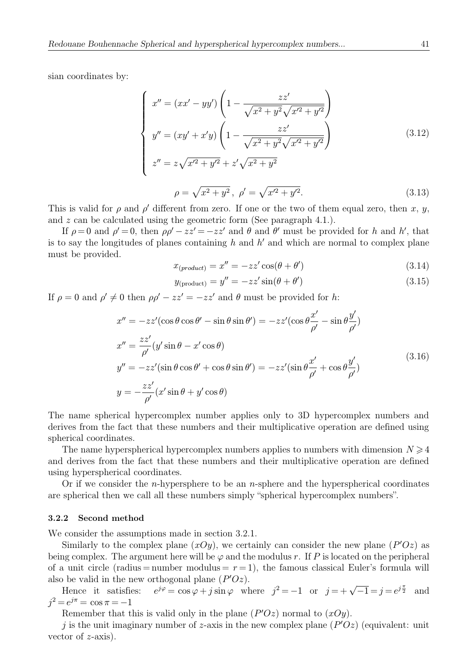sian coordinates by:

$$
\begin{cases}\nx'' = (xx' - yy')\left(1 - \frac{zz'}{\sqrt{x^2 + y^2}\sqrt{x'^2 + y'^2}}\right) \\
y'' = (xy' + x'y)\left(1 - \frac{zz'}{\sqrt{x^2 + y^2}\sqrt{x'^2 + y'^2}}\right) \\
z'' = z\sqrt{x'^2 + y'^2} + z'\sqrt{x^2 + y^2} \\
\rho = \sqrt{x^2 + y^2}, \ \rho' = \sqrt{x'^2 + y'^2}.\n\end{cases} (3.13)
$$

This is valid for  $\rho$  and  $\rho'$  different from zero. If one or the two of them equal zero, then x, y, and z can be calculated using the geometric form (See paragraph 4.1.).

If  $\rho = 0$  and  $\rho' = 0$ , then  $\rho \rho' - zz' = -zz'$  and  $\theta$  and  $\theta'$  must be provided for h and h', that is to say the longitudes of planes containing h and h' and which are normal to complex plane must be provided.

$$
x_{(product)} = x'' = -zz'\cos(\theta + \theta')
$$
\n(3.14)

$$
y_{\text{(product)}} = y'' = -zz'\sin(\theta + \theta')\tag{3.15}
$$

If  $\rho = 0$  and  $\rho' \neq 0$  then  $\rho \rho' - zz' = -zz'$  and  $\theta$  must be provided for h:

$$
x'' = -zz'(\cos\theta\cos\theta' - \sin\theta\sin\theta') = -zz'(\cos\theta\frac{x'}{\rho'} - \sin\theta\frac{y'}{\rho'})
$$
  
\n
$$
x'' = \frac{zz'}{\rho'}(y'\sin\theta - x'\cos\theta)
$$
  
\n
$$
y'' = -zz'(\sin\theta\cos\theta' + \cos\theta\sin\theta') = -zz'(\sin\theta\frac{x'}{\rho'} + \cos\theta\frac{y'}{\rho'})
$$
\n
$$
y = -\frac{zz'}{\rho'}(x'\sin\theta + y'\cos\theta)
$$
\n(3.16)

The name spherical hypercomplex number applies only to 3D hypercomplex numbers and derives from the fact that these numbers and their multiplicative operation are defined using spherical coordinates.

The name hyperspherical hypercomplex numbers applies to numbers with dimension  $N \geq 4$ and derives from the fact that these numbers and their multiplicative operation are defined using hyperspherical coordinates.

Or if we consider the *n*-hypersphere to be an *n*-sphere and the hyperspherical coordinates are spherical then we call all these numbers simply "spherical hypercomplex numbers".

#### 3.2.2 Second method

We consider the assumptions made in section 3.2.1.

Similarly to the complex plane  $(xOy)$ , we certainly can consider the new plane  $(P'Oz)$  as being complex. The argument here will be  $\varphi$  and the modulus r. If P is located on the peripheral of a unit circle (radius = number modulus =  $r = 1$ ), the famous classical Euler's formula will also be valid in the new orthogonal plane  $(P'Oz)$ .

Hence it satisfies:  $e^{j\varphi} = \cos \varphi + j \sin \varphi$  where  $j^2 = -1$  or  $j = +\sqrt{-1} = j = e^{j\frac{\pi}{2}}$  and  $j^2 = e^{j\pi} = \cos \pi = -1$ 

Remember that this is valid only in the plane  $(P'Oz)$  normal to  $(xOy)$ .

j is the unit imaginary number of z-axis in the new complex plane  $(P'Oz)$  (equivalent: unit vector of  $z$ -axis).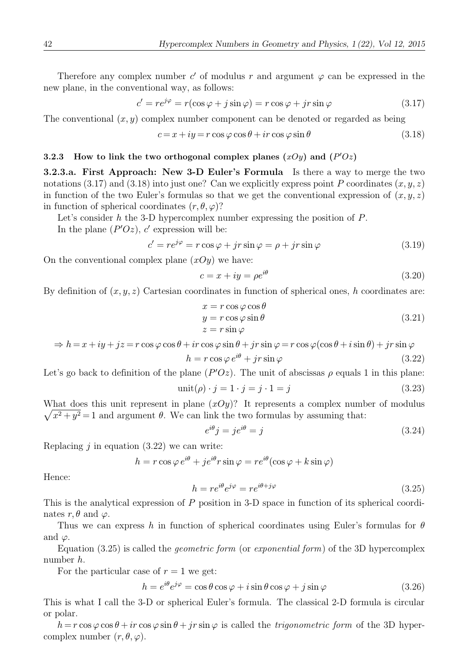Therefore any complex number c' of modulus r and argument  $\varphi$  can be expressed in the new plane, in the conventional way, as follows:

$$
c' = re^{j\varphi} = r(\cos\varphi + j\sin\varphi) = r\cos\varphi + jr\sin\varphi \tag{3.17}
$$

The conventional  $(x, y)$  complex number component can be denoted or regarded as being

$$
c = x + iy = r\cos\varphi\cos\theta + ir\cos\varphi\sin\theta\tag{3.18}
$$

#### 3.2.3 How to link the two orthogonal complex planes  $(xOy)$  and  $(P'Oz)$

3.2.3.a. First Approach: New 3-D Euler's Formula Is there a way to merge the two notations (3.17) and (3.18) into just one? Can we explicitly express point P coordinates  $(x, y, z)$ in function of the two Euler's formulas so that we get the conventional expression of  $(x, y, z)$ in function of spherical coordinates  $(r, \theta, \varphi)$ ?

Let's consider h the 3-D hypercomplex number expressing the position of  $P$ . In the plane  $(P'Oz)$ , c' expression will be:

$$
c' = re^{j\varphi} = r\cos\varphi + jr\sin\varphi = \rho + jr\sin\varphi \tag{3.19}
$$

On the conventional complex plane  $(xOy)$  we have:

$$
c = x + iy = \rho e^{i\theta} \tag{3.20}
$$

By definition of  $(x, y, z)$  Cartesian coordinates in function of spherical ones, h coordinates are:

$$
x = r \cos \varphi \cos \theta
$$
  
\n
$$
y = r \cos \varphi \sin \theta
$$
  
\n
$$
z = r \sin \varphi
$$
\n(3.21)

$$
\Rightarrow h = x + iy + jz = r \cos \varphi \cos \theta + ir \cos \varphi \sin \theta + jr \sin \varphi = r \cos \varphi (\cos \theta + i \sin \theta) + jr \sin \varphi
$$

$$
h = r \cos \varphi \, e^{i\theta} + j r \sin \varphi \tag{3.22}
$$

Let's go back to definition of the plane  $(P'Oz)$ . The unit of abscissas  $\rho$  equals 1 in this plane:

$$
unit(\rho) \cdot j = 1 \cdot j = j \cdot 1 = j \tag{3.23}
$$

 $\sqrt{x^2 + y^2} = 1$  and argument  $\theta$ . We can link the two formulas by assuming that: What does this unit represent in plane  $(xOy)$ ? It represents a complex number of modulus

$$
e^{i\theta}j = je^{i\theta} = j \tag{3.24}
$$

Replacing  $i$  in equation (3.22) we can write:

$$
h = r \cos \varphi \, e^{i\theta} + j e^{i\theta} r \sin \varphi = r e^{i\theta} (\cos \varphi + k \sin \varphi)
$$

Hence:

$$
h = re^{i\theta}e^{j\varphi} = re^{i\theta + j\varphi} \tag{3.25}
$$

This is the analytical expression of P position in 3-D space in function of its spherical coordinates  $r, \theta$  and  $\varphi$ .

Thus we can express h in function of spherical coordinates using Euler's formulas for  $\theta$ and  $\varphi$ .

Equation  $(3.25)$  is called the *geometric form* (or *exponential form*) of the 3D hypercomplex number h.

For the particular case of  $r = 1$  we get:

$$
h = e^{i\theta} e^{j\varphi} = \cos\theta \cos\varphi + i\sin\theta \cos\varphi + j\sin\varphi \tag{3.26}
$$

This is what I call the 3-D or spherical Euler's formula. The classical 2-D formula is circular or polar.

 $h = r \cos \varphi \cos \theta + ir \cos \varphi \sin \theta + ir \sin \varphi$  is called the *trigonometric form* of the 3D hypercomplex number  $(r, \theta, \varphi)$ .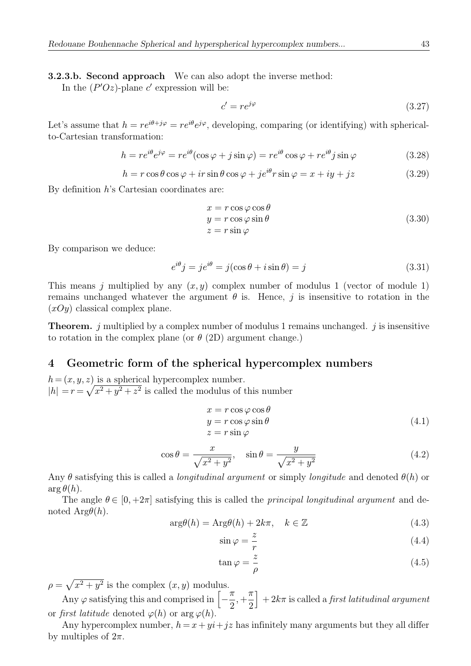**3.2.3.b. Second approach** We can also adopt the inverse method:

In the  $(P'Oz)$ -plane c' expression will be:

$$
c' = re^{j\varphi} \tag{3.27}
$$

Let's assume that  $h = re^{i\theta + j\varphi} = re^{i\theta}e^{j\varphi}$ , developing, comparing (or identifying) with sphericalto-Cartesian transformation:

$$
h = re^{i\theta}e^{j\varphi} = re^{i\theta}(\cos\varphi + j\sin\varphi) = re^{i\theta}\cos\varphi + re^{i\theta}j\sin\varphi \tag{3.28}
$$

$$
h = r\cos\theta\cos\varphi + ir\sin\theta\cos\varphi + je^{i\theta}r\sin\varphi = x + iy + jz \tag{3.29}
$$

By definition h's Cartesian coordinates are:

$$
x = r \cos \varphi \cos \theta
$$
  
\n
$$
y = r \cos \varphi \sin \theta
$$
  
\n
$$
z = r \sin \varphi
$$
\n(3.30)

By comparison we deduce:

$$
e^{i\theta}j = je^{i\theta} = j(\cos\theta + i\sin\theta) = j \tag{3.31}
$$

This means j multiplied by any  $(x, y)$  complex number of modulus 1 (vector of module 1) remains unchanged whatever the argument  $\theta$  is. Hence, j is insensitive to rotation in the  $(xOy)$  classical complex plane.

**Theorem.** j multiplied by a complex number of modulus 1 remains unchanged. j is insensitive to rotation in the complex plane (or  $\theta$  (2D) argument change.)

# 4 Geometric form of the spherical hypercomplex numbers

 $h = (x, y, z)$  is a spherical hypercomplex number.  $|h| = r = \sqrt{x^2 + y^2 + z^2}$  is called the modulus of this number

$$
x = r \cos \varphi \cos \theta
$$
  
\n
$$
y = r \cos \varphi \sin \theta
$$
  
\n
$$
z = r \sin \varphi
$$
\n(4.1)

$$
\cos \theta = \frac{x}{\sqrt{x^2 + y^2}}, \quad \sin \theta = \frac{y}{\sqrt{x^2 + y^2}}
$$
\n(4.2)

Any  $\theta$  satisfying this is called a *longitudinal argument* or simply *longitude* and denoted  $\theta(h)$  or  $\arg \theta(h)$ .

The angle  $\theta \in [0, +2\pi]$  satisfying this is called the *principal longitudinal argument* and denoted  $Arg\theta(h)$ .

$$
\arg\theta(h) = \text{Arg}\theta(h) + 2k\pi, \quad k \in \mathbb{Z}
$$
\n(4.3)

$$
\sin \varphi = \frac{z}{r} \tag{4.4}
$$

$$
\tan \varphi = \frac{z}{\rho} \tag{4.5}
$$

 $\rho = \sqrt{x^2 + y^2}$  is the complex  $(x, y)$  modulus.

Any  $\varphi$  satisfying this and comprised in  $\left[-\frac{\pi}{2}\right]$ , + π 2  $\Big] + 2k\pi$  is called a *first latitudinal argument* or first latitude denoted  $\varphi(h)$  or  $\arg \varphi(h)$ .

Any hypercomplex number,  $h = x + yi + jz$  has infinitely many arguments but they all differ by multiples of  $2\pi$ .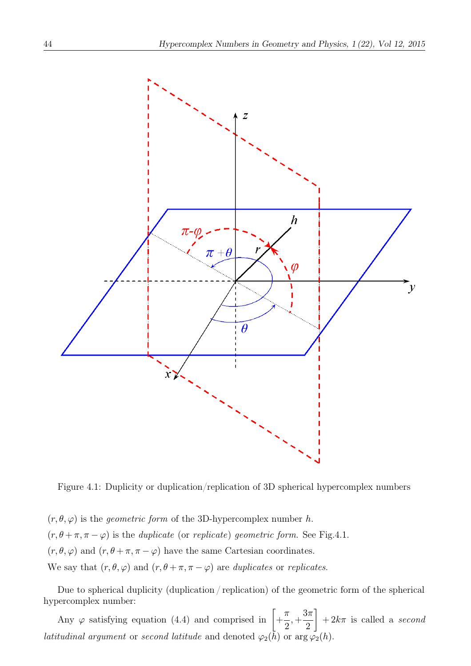

Figure 4.1: Duplicity or duplication/replication of 3D spherical hypercomplex numbers

 $(r, \theta, \varphi)$  is the *geometric form* of the 3D-hypercomplex number h.  $(r, \theta + \pi, \pi - \varphi)$  is the *duplicate* (or *replicate*) geometric form. See Fig.4.1.  $(r, \theta, \varphi)$  and  $(r, \theta + \pi, \pi - \varphi)$  have the same Cartesian coordinates. We say that  $(r, \theta, \varphi)$  and  $(r, \theta + \pi, \pi - \varphi)$  are duplicates or replicates.

Due to spherical duplicity (duplication / replication) of the geometric form of the spherical hypercomplex number:

Any  $\varphi$  satisfying equation (4.4) and comprised in  $\Big[ + \Big]$ π 2 , +  $3\pi$ 2 1  $+ 2k\pi$  is called a second *latitudinal argument* or second *latitude* and denoted  $\varphi_2(\tilde{h})$  or  $\arg \varphi_2(h)$ .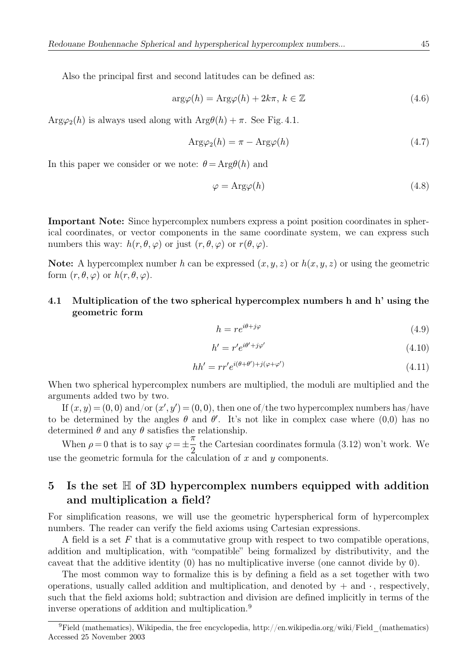Also the principal first and second latitudes can be defined as:

$$
\arg \varphi(h) = \text{Arg}\varphi(h) + 2k\pi, \, k \in \mathbb{Z} \tag{4.6}
$$

 $Arg\varphi_2(h)$  is always used along with  $Arg\theta(h) + \pi$ . See Fig. 4.1.

$$
Arg\varphi_2(h) = \pi - Arg\varphi(h)
$$
\n(4.7)

In this paper we consider or we note:  $\theta = \text{Arg}\theta(h)$  and

$$
\varphi = \text{Arg}\varphi(h) \tag{4.8}
$$

Important Note: Since hypercomplex numbers express a point position coordinates in spherical coordinates, or vector components in the same coordinate system, we can express such numbers this way:  $h(r, \theta, \varphi)$  or just  $(r, \theta, \varphi)$  or  $r(\theta, \varphi)$ .

Note: A hypercomplex number h can be expressed  $(x, y, z)$  or  $h(x, y, z)$  or using the geometric form  $(r, \theta, \varphi)$  or  $h(r, \theta, \varphi)$ .

# 4.1 Multiplication of the two spherical hypercomplex numbers h and h' using the geometric form

$$
h = re^{i\theta + j\varphi} \tag{4.9}
$$

$$
h' = r'e^{i\theta' + j\varphi'}\tag{4.10}
$$

$$
hh' = rr'e^{i(\theta + \theta') + j(\varphi + \varphi')} \tag{4.11}
$$

When two spherical hypercomplex numbers are multiplied, the moduli are multiplied and the arguments added two by two.

If  $(x, y) = (0, 0)$  and/or  $(x', y') = (0, 0)$ , then one of/the two hypercomplex numbers has/have to be determined by the angles  $\theta$  and  $\theta'$ . It's not like in complex case where  $(0,0)$  has no determined  $\theta$  and any  $\theta$  satisfies the relationship.

When  $\rho = 0$  that is to say  $\varphi = \pm$  $\tilde{\pi}$  $\frac{\pi}{2}$  the Cartesian coordinates formula (3.12) won't work. We use the geometric formula for the calculation of x and y components.

# 5 Is the set  $\mathbb H$  of 3D hypercomplex numbers equipped with addition and multiplication a field?

For simplification reasons, we will use the geometric hyperspherical form of hypercomplex numbers. The reader can verify the field axioms using Cartesian expressions.

A field is a set  $F$  that is a commutative group with respect to two compatible operations, addition and multiplication, with "compatible" being formalized by distributivity, and the caveat that the additive identity (0) has no multiplicative inverse (one cannot divide by 0).

The most common way to formalize this is by defining a field as a set together with two operations, usually called addition and multiplication, and denoted by + and ∙ , respectively, such that the field axioms hold; subtraction and division are defined implicitly in terms of the inverse operations of addition and multiplication.<sup>9</sup>

<sup>&</sup>lt;sup>9</sup>Field (mathematics), Wikipedia, the free encyclopedia, http://en.wikipedia.org/wiki/Field (mathematics) Accessed 25 November 2003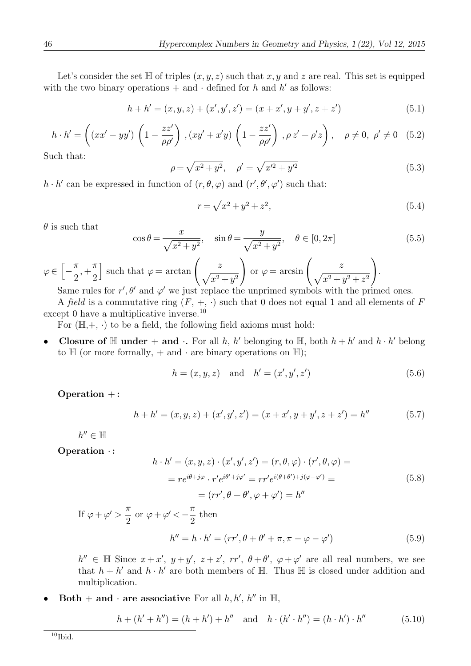Let's consider the set  $\mathbb H$  of triples  $(x, y, z)$  such that x, y and z are real. This set is equipped with the two binary operations + and ⋅ defined for h and h' as follows:

$$
h + h' = (x, y, z) + (x', y', z') = (x + x', y + y', z + z')
$$
\n(5.1)

$$
h \cdot h' = \left( (xx' - yy') \left( 1 - \frac{zz'}{\rho \rho'} \right), (xy' + x'y) \left( 1 - \frac{zz'}{\rho \rho'} \right), \rho z' + \rho' z \right), \quad \rho \neq 0, \ \rho' \neq 0 \quad (5.2)
$$

Such that:

$$
\rho = \sqrt{x^2 + y^2}, \quad \rho' = \sqrt{x'^2 + y'^2}
$$
\n(5.3)

 $h \cdot h'$  can be expressed in function of  $(r, \theta, \varphi)$  and  $(r', \theta', \varphi')$  such that:

$$
r = \sqrt{x^2 + y^2 + z^2},\tag{5.4}
$$

 $\theta$  is such that

$$
\cos \theta = \frac{x}{\sqrt{x^2 + y^2}}, \quad \sin \theta = \frac{y}{\sqrt{x^2 + y^2}}, \quad \theta \in [0, 2\pi]
$$
\n(5.5)

 $\varphi \in \left[-\frac{\pi}{2}\right]$ , + π 2 such that  $\varphi = \arctan\left(\frac{z}{\sqrt{2}}\right)$  $\sqrt{x^2 + y^2}$  $\int$  or  $\varphi = \arcsin \left( \frac{z}{\sqrt{2}} \right)$  $\sqrt{x^2 + y^2 + z^2}$  $\setminus$ . Same rules for r',  $\theta'$  and  $\varphi'$  we just replace the unprimed symbols with the primed ones.

A field is a commutative ring  $(F, +, \cdot)$  such that 0 does not equal 1 and all elements of F except 0 have a multiplicative inverse.<sup>10</sup>

For  $(\mathbb{H}, +, \cdot)$  to be a field, the following field axioms must hold:

• Closure of H under + and ⋅ For all h, h' belonging to H, both  $h + h'$  and  $h \cdot h'$  belong to  $\mathbb H$  (or more formally, + and ⋅ are binary operations on  $\mathbb H$ );

$$
h = (x, y, z) \text{ and } h' = (x', y', z') \tag{5.6}
$$

Operation +:

$$
h + h' = (x, y, z) + (x', y', z') = (x + x', y + y', z + z') = h''
$$
\n(5.7)

 $h'' \in \mathbb{H}$ 

Operation ∙ :

$$
h \cdot h' = (x, y, z) \cdot (x', y', z') = (r, \theta, \varphi) \cdot (r', \theta, \varphi) =
$$

$$
= r e^{i\theta + j\varphi} \cdot r' e^{i\theta' + j\varphi'} = r r' e^{i(\theta + \theta') + j(\varphi + \varphi')} =
$$

$$
= (r r', \theta + \theta', \varphi + \varphi') = h''
$$
(5.8)

If  $\varphi + \varphi' >$ π  $\frac{\pi}{2}$  or  $\varphi + \varphi' < -\frac{\pi}{2}$ then

$$
h'' = h \cdot h' = (rr', \theta + \theta' + \pi, \pi - \varphi - \varphi')
$$
\n(5.9)

 $h'' \in \mathbb{H}$  Since  $x + x'$ ,  $y + y'$ ,  $z + z'$ ,  $rr'$ ,  $\theta + \theta'$ ,  $\varphi + \varphi'$  are all real numbers, we see that  $h + h'$  and  $h \cdot h'$  are both members of H. Thus H is closed under addition and multiplication.

• Both + and ⋅ are associative For all  $h, h', h''$  in  $\mathbb{H}$ ,

$$
h + (h' + h'') = (h + h') + h'' \text{ and } h \cdot (h' \cdot h'') = (h \cdot h') \cdot h''
$$
 (5.10)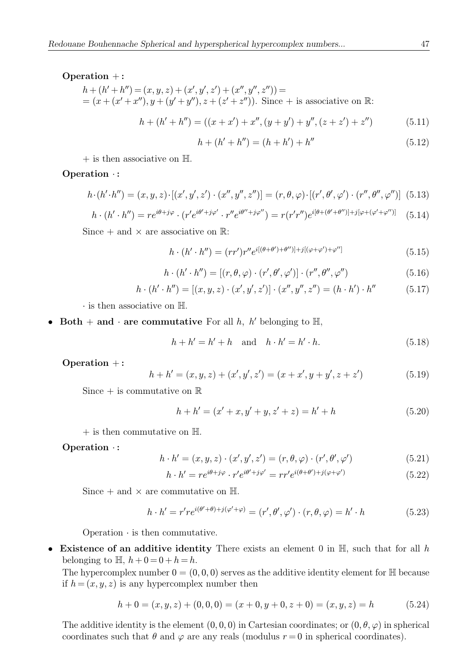#### Operation +:

$$
h + (h' + h'') = (x, y, z) + (x', y', z') + (x'', y'', z'')) =
$$
  
=  $(x + (x' + x''), y + (y' + y''), z + (z' + z''))$ . Since + is associative on R:

$$
h + (h' + h'') = ((x + x') + x'', (y + y') + y'', (z + z') + z'')
$$
(5.11)

$$
h + (h' + h'') = (h + h') + h''
$$
\n(5.12)

 $+$  is then associative on  $\mathbb{H}$ .

### Operation ∙ :

$$
h \cdot (h' \cdot h'') = (x, y, z) \cdot [(x', y', z') \cdot (x'', y'', z'')] = (r, \theta, \varphi) \cdot [(r', \theta', \varphi') \cdot (r'', \theta'', \varphi'')] \tag{5.13}
$$

$$
h \cdot (h' \cdot h'') = re^{i\theta + j\varphi} \cdot (r'e^{i\theta' + j\varphi'} \cdot r''e^{i\theta'' + j\varphi''}) = r(r'r'')e^{i[\theta + (\theta' + \theta'')] + j[\varphi + (\varphi' + \varphi'')]}\tag{5.14}
$$

Since  $+$  and  $\times$  are associative on  $\mathbb{R}$ :

$$
h \cdot (h' \cdot h'') = (rr')r''e^{i[(\theta + \theta') + \theta'')] + j[(\varphi + \varphi') + \varphi'']} \tag{5.15}
$$

$$
h \cdot (h' \cdot h'') = [(r, \theta, \varphi) \cdot (r', \theta', \varphi')] \cdot (r'', \theta'', \varphi'')
$$
(5.16)

$$
h \cdot (h' \cdot h'') = [(x, y, z) \cdot (x', y', z')] \cdot (x'', y'', z'') = (h \cdot h') \cdot h''
$$
 (5.17)

∙ is then associative on H.

• Both + and ⋅ are commutative For all  $h$ ,  $h'$  belonging to  $H$ ,

$$
h + h' = h' + h \quad \text{and} \quad h \cdot h' = h' \cdot h. \tag{5.18}
$$

Operation +:

$$
h + h' = (x, y, z) + (x', y', z') = (x + x', y + y', z + z')
$$
(5.19)

Since  $+$  is commutative on  $\mathbb R$ 

$$
h + h' = (x' + x, y' + y, z' + z) = h' + h
$$
\n(5.20)

 $+$  is then commutative on  $\mathbb{H}$ .

### Operation ∙ :

$$
h \cdot h' = (x, y, z) \cdot (x', y', z') = (r, \theta, \varphi) \cdot (r', \theta', \varphi')
$$
(5.21)

$$
h \cdot h' = re^{i\theta + j\varphi} \cdot r' e^{i\theta' + j\varphi'} = rr' e^{i(\theta + \theta') + j(\varphi + \varphi')} \tag{5.22}
$$

Since  $+$  and  $\times$  are commutative on  $\mathbb{H}$ .

$$
h \cdot h' = r' re^{i(\theta' + \theta) + j(\varphi' + \varphi)} = (r', \theta', \varphi') \cdot (r, \theta, \varphi) = h' \cdot h \tag{5.23}
$$

Operation ∙ is then commutative.

• Existence of an additive identity There exists an element 0 in  $\mathbb{H}$ , such that for all h belonging to  $\mathbb{H}$ ,  $h + 0 = 0 + h = h$ .

The hypercomplex number  $0 = (0, 0, 0)$  serves as the additive identity element for  $\mathbb{H}$  because if  $h = (x, y, z)$  is any hypercomplex number then

$$
h + 0 = (x, y, z) + (0, 0, 0) = (x + 0, y + 0, z + 0) = (x, y, z) = h
$$
\n
$$
(5.24)
$$

The additive identity is the element  $(0, 0, 0)$  in Cartesian coordinates; or  $(0, \theta, \varphi)$  in spherical coordinates such that  $\theta$  and  $\varphi$  are any reals (modulus  $r = 0$  in spherical coordinates).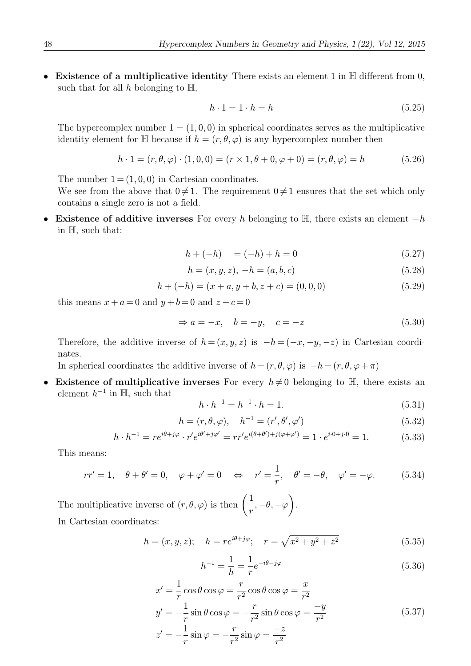• Existence of a multiplicative identity There exists an element 1 in  $\mathbb H$  different from 0, such that for all  $h$  belonging to  $\mathbb{H}$ ,

$$
h \cdot 1 = 1 \cdot h = h \tag{5.25}
$$

The hypercomplex number  $1 = (1, 0, 0)$  in spherical coordinates serves as the multiplicative identity element for H because if  $h = (r, \theta, \varphi)$  is any hypercomplex number then

$$
h \cdot 1 = (r, \theta, \varphi) \cdot (1, 0, 0) = (r \times 1, \theta + 0, \varphi + 0) = (r, \theta, \varphi) = h \tag{5.26}
$$

The number  $1 = (1, 0, 0)$  in Cartesian coordinates.

- We see from the above that  $0 \neq 1$ . The requirement  $0 \neq 1$  ensures that the set which only contains a single zero is not a field.
- Existence of additive inverses For every h belonging to  $\mathbb{H}$ , there exists an element  $-h$ in H, such that:

$$
h + (-h) = (-h) + h = 0 \tag{5.27}
$$

$$
h = (x, y, z), -h = (a, b, c)
$$
\n(5.28)

$$
h + (-h) = (x + a, y + b, z + c) = (0, 0, 0)
$$
\n
$$
(5.29)
$$

this means  $x + a = 0$  and  $y + b = 0$  and  $z + c = 0$ 

$$
\Rightarrow a = -x, \quad b = -y, \quad c = -z \tag{5.30}
$$

Therefore, the additive inverse of  $h = (x, y, z)$  is  $-h = (-x, -y, -z)$  in Cartesian coordinates.

In spherical coordinates the additive inverse of  $h = (r, \theta, \varphi)$  is  $-h = (r, \theta, \varphi + \pi)$ 

**Existence of multiplicative inverses** For every  $h \neq 0$  belonging to H, there exists an element  $h^{-1}$  in H, such that

$$
h \cdot h^{-1} = h^{-1} \cdot h = 1. \tag{5.31}
$$

$$
h = (r, \theta, \varphi), \quad h^{-1} = (r', \theta', \varphi') \tag{5.32}
$$

$$
h \cdot h^{-1} = re^{i\theta + j\varphi} \cdot r' e^{i\theta' + j\varphi'} = rr' e^{i(\theta + \theta') + j(\varphi + \varphi')} = 1 \cdot e^{i \cdot 0 + j \cdot 0} = 1.
$$
 (5.33)

This means:

$$
rr' = 1, \quad \theta + \theta' = 0, \quad \varphi + \varphi' = 0 \quad \Leftrightarrow \quad r' = \frac{1}{r}, \quad \theta' = -\theta, \quad \varphi' = -\varphi. \tag{5.34}
$$

The multiplicative inverse of  $(r, \theta, \varphi)$  is then  $\left(\frac{1}{r}, -\theta, -\varphi\right)$  $\lambda$ . In Cartesian coordinates:

$$
h = (x, y, z); \quad h = re^{i\theta + j\varphi}; \quad r = \sqrt{x^2 + y^2 + z^2}
$$
 (5.35)

$$
h^{-1} = \frac{1}{h} = \frac{1}{r} e^{-i\theta - j\varphi}
$$
\n(5.36)

$$
x' = \frac{1}{r} \cos \theta \cos \varphi = \frac{r}{r^2} \cos \theta \cos \varphi = \frac{x}{r^2}
$$
  
\n
$$
y' = -\frac{1}{r} \sin \theta \cos \varphi = -\frac{r}{r^2} \sin \theta \cos \varphi = \frac{-y}{r^2}
$$
  
\n
$$
z' = -\frac{1}{r} \sin \varphi = -\frac{r}{r^2} \sin \varphi = \frac{-z}{r^2}
$$
\n(5.37)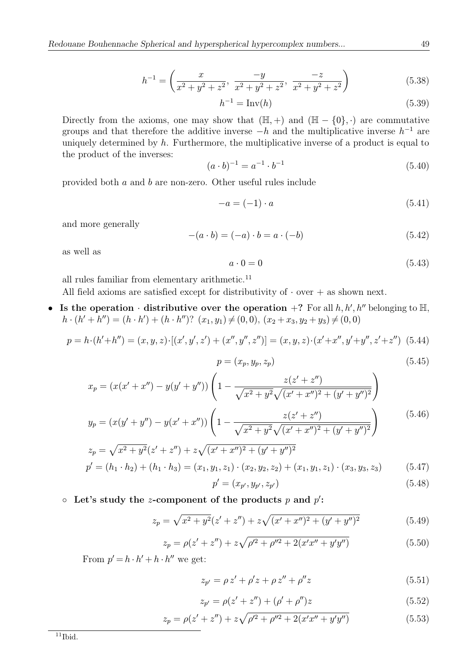$$
h^{-1} = \left(\frac{x}{x^2 + y^2 + z^2}, \frac{-y}{x^2 + y^2 + z^2}, \frac{-z}{x^2 + y^2 + z^2}\right)
$$
(5.38)

 $h^{-1} = \text{Inv}(h)$  (5.39)

Directly from the axioms, one may show that  $(\mathbb{H}, +)$  and  $(\mathbb{H} - \{0\}, \cdot)$  are commutative groups and that therefore the additive inverse  $-h$  and the multiplicative inverse  $h^{-1}$  are uniquely determined by  $h$ . Furthermore, the multiplicative inverse of a product is equal to the product of the inverses:

$$
(a \cdot b)^{-1} = a^{-1} \cdot b^{-1} \tag{5.40}
$$

provided both a and b are non-zero. Other useful rules include

$$
-a = (-1) \cdot a \tag{5.41}
$$

and more generally

$$
-(a \cdot b) = (-a) \cdot b = a \cdot (-b)
$$
\n(5.42)

as well as

$$
a \cdot 0 = 0 \tag{5.43}
$$

all rules familiar from elementary arithmetic.<sup>11</sup>

All field axioms are satisfied except for distributivity of  $\cdot$  over + as shown next.

• Is the operation  $\cdot$  distributive over the operation +? For all  $h, h', h''$  belonging to  $\mathbb{H}$ ,  $h \cdot (h' + h'') = (h \cdot h') + (h \cdot h'')$ ? (x<sub>1</sub>, y<sub>1</sub>) ≠ (0, 0), (x<sub>2</sub> + x<sub>3</sub>, y<sub>2</sub> + y<sub>3</sub>) ≠ (0, 0)

$$
p = h \cdot (h' + h'') = (x, y, z) \cdot [(x', y', z') + (x'', y'', z'')] = (x, y, z) \cdot (x' + x'', y' + y'', z' + z'')
$$
 (5.44)

$$
p = (x_p, y_p, z_p) \tag{5.45}
$$

$$
x_p = (x(x' + x'') - y(y' + y'')) \left(1 - \frac{z(z' + z'')}{\sqrt{x^2 + y^2}\sqrt{(x' + x'')^2 + (y' + y'')^2}}\right)
$$
  

$$
y_p = (x(y' + y'') - y(x' + x'')) \left(1 - \frac{z(z' + z'')}{\sqrt{x^2 + y^2}\sqrt{(x' + x'')^2 + (y' + y'')^2}}\right)
$$
(5.46)

$$
y_p = (x(y + y') - y(x + x')) \left(1 - \frac{1}{\sqrt{x^2 + y^2} \sqrt{(x' + x'')^2 + (y' + y'')^2}}\right)
$$
  
\n
$$
z_p = \sqrt{x^2 + y^2} (z' + z'') + z\sqrt{(x' + x'')^2 + (y' + y'')^2}
$$
  
\n
$$
y'_p = (h_1, h_2) + (h_1, h_2) = (x_1, y_1, z_1) \cdot (x_2, y_2, z_2) + (x_1, y_1, z_1) \cdot (x_2, y_2, z_2) \tag{5.47}
$$

$$
p' = (h_1 \cdot h_2) + (h_1 \cdot h_3) = (x_1, y_1, z_1) \cdot (x_2, y_2, z_2) + (x_1, y_1, z_1) \cdot (x_3, y_3, z_3) \tag{5.47}
$$

$$
p' = (x_{p'}, y_{p'}, z_{p'})
$$
\n(5.48)

 $\circ$  Let's study the *z*-component of the products *p* and *p*':

$$
z_p = \sqrt{x^2 + y^2}(z' + z'') + z\sqrt{(x' + x'')^2 + (y' + y'')^2}
$$
(5.49)

$$
z_p = \rho(z' + z'') + z\sqrt{\rho'^2 + \rho''^2 + 2(x'x'' + y'y'')}
$$
 (5.50)

From  $p' = h \cdot h' + h \cdot h''$  we get:

$$
z_{p'} = \rho z' + \rho' z + \rho z'' + \rho'' z \tag{5.51}
$$

$$
z_{p'} = \rho(z' + z'') + (\rho' + \rho'')z \tag{5.52}
$$

$$
z_p = \rho(z' + z'') + z\sqrt{\rho'^2 + \rho''^2 + 2(x'x'' + y'y'')}
$$
 (5.53)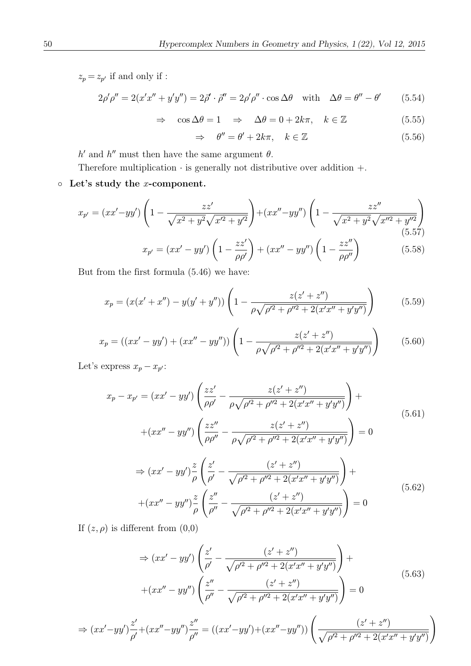$z_p = z_{p'}$  if and only if :

$$
2\rho'\rho'' = 2(x'x'' + y'y'') = 2\vec{\rho}' \cdot \vec{\rho}'' = 2\rho'\rho'' \cdot \cos\Delta\theta \quad \text{with} \quad \Delta\theta = \theta'' - \theta' \tag{5.54}
$$

$$
\Rightarrow \quad \cos \Delta \theta = 1 \quad \Rightarrow \quad \Delta \theta = 0 + 2k\pi, \quad k \in \mathbb{Z} \tag{5.55}
$$

$$
\Rightarrow \quad \theta'' = \theta' + 2k\pi, \quad k \in \mathbb{Z} \tag{5.56}
$$

 $h'$  and  $h''$  must then have the same argument  $\theta$ .

Therefore multiplication ∙ is generally not distributive over addition +.

# ◦ Let's study the x-component.

$$
x_{p'} = (xx' - yy')\left(1 - \frac{zz'}{\sqrt{x^2 + y^2}\sqrt{x'^2 + y'^2}}\right) + (xx'' - yy'')\left(1 - \frac{zz''}{\sqrt{x^2 + y^2}\sqrt{x''^2 + y''^2}}\right) \tag{5.57}
$$

$$
x_{p'} = (xx' - yy')\left(1 - \frac{zz'}{\rho\rho'}\right) + (xx'' - yy'')\left(1 - \frac{zz''}{\rho\rho''}\right) \tag{5.58}
$$

But from the first formula  $(5.46)$  we have:

$$
x_p = (x(x' + x'') - y(y' + y'')) \left(1 - \frac{z(z' + z'')}{\rho \sqrt{\rho'^2 + \rho''^2 + 2(x'x'' + y'y'')}}\right)
$$
(5.59)

$$
x_p = ((xx' - yy') + (xx'' - yy''))\left(1 - \frac{z(z' + z'')}{\rho\sqrt{\rho'^2 + \rho''^2 + 2(x'x'' + y'y'')}}\right) \tag{5.60}
$$

Let's express  $x_p - x_{p'}$ :

$$
x_p - x_{p'} = (xx' - yy') \left( \frac{zz'}{\rho \rho'} - \frac{z(z' + z'')}{\rho \sqrt{\rho'^2 + \rho'^2 + 2(x'x'' + y'y'')}} \right) +
$$
  
 
$$
+ (xx'' - yy'') \left( \frac{zz''}{\rho \rho''} - \frac{z(z' + z'')}{\rho \sqrt{\rho'^2 + \rho''^2 + 2(x'x'' + y'y'')}} \right) = 0
$$
  
\n
$$
\Rightarrow (xx' - yy') \frac{z}{\rho} \left( \frac{z'}{\rho'} - \frac{(z' + z'')}{\sqrt{\rho'^2 + \rho''^2 + 2(x'x'' + y'y'')}} \right) +
$$
\n(5.61)

$$
+ (xx'' - yy'')\frac{z}{\rho} \left(\frac{z''}{\rho''} - \frac{(z' + z'')}{\sqrt{\rho'^2 + \rho''^2 + 2(x'x'' + y'y'')}}\right) = 0
$$
\n
$$
(5.62)
$$

If  $(z, \rho)$  is different from  $(0,0)$ 

$$
\Rightarrow (xx' - yy')\left(\frac{z'}{\rho'} - \frac{(z' + z'')}{\sqrt{\rho'^2 + \rho''^2 + 2(x'x'' + y'y'')}}\right) +
$$
  
 
$$
+ (xx'' - yy'')\left(\frac{z''}{\rho''} - \frac{(z' + z'')}{\sqrt{\rho'^2 + \rho''^2 + 2(x'x'' + y'y'')}}\right) = 0
$$
(5.63)

$$
\Rightarrow (xx'-yy')\frac{z'}{\rho'} + (xx''-yy'')\frac{z''}{\rho''} = ((xx'-yy') + (xx''-yy''))\left(\frac{(z'+z'')}{\sqrt{\rho'^2 + \rho''^2 + 2(x'x'' + y'y'')}}\right)
$$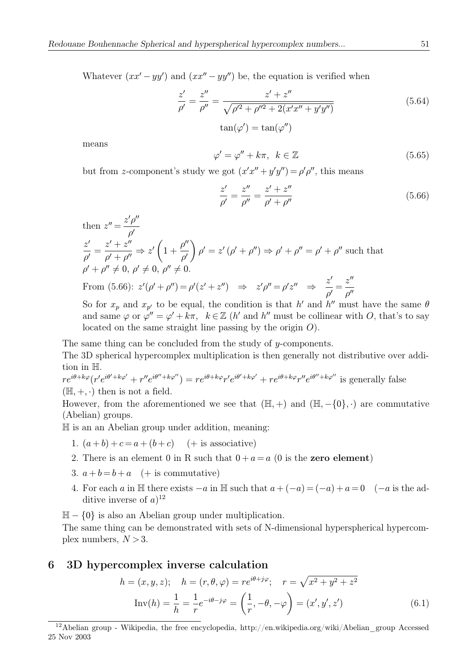Whatever  $(xx'-yy')$  and  $(xx''-yy'')$  be, the equation is verified when

$$
\frac{z'}{\rho'} = \frac{z''}{\rho''} = \frac{z' + z''}{\sqrt{\rho'^2 + \rho''^2 + 2(x'x'' + y'y'')}}\n\quad \tan(\varphi') = \tan(\varphi'')
$$
\n(5.64)

means

$$
\varphi' = \varphi'' + k\pi, \ \ k \in \mathbb{Z} \tag{5.65}
$$

but from z-component's study we got  $(x'x'' + y'y'') = \rho' \rho''$ , this means

$$
\frac{z'}{\rho'} = \frac{z''}{\rho''} = \frac{z' + z''}{\rho' + \rho''}
$$
\n(5.66)

then  $z'' = \frac{z'\rho''}{l}$  $\rho^{\prime}$  $\frac{z'}{\rho'} = \frac{z'+z''}{\rho'+\rho''} \Rightarrow z'$  $\left(1+\frac{\rho''}{\rho'}\right)$  $\lambda$  $\rho' = z'(\rho' + \rho'') \Rightarrow \rho' + \rho'' = \rho' + \rho''$  such that  $\rho' + \rho'' \neq 0, \, \rho' \neq 0, \, \rho'' \neq 0.$ From (5.66):  $z'(\rho' + \rho'') = \rho'(z' + z'') \Rightarrow z'\rho'' = \rho'z'' \Rightarrow$  $\frac{z'}{\rho'}=\frac{z'''}{\rho''}$ So for  $x_p$  and  $x_{p'}$  to be equal, the condition is that h<sup>'</sup> and h<sup>''</sup> must have the same  $\theta$ 

and same  $\varphi$  or  $\varphi'' = \varphi' + k\pi$ ,  $k \in \mathbb{Z}$  (h' and h'' must be collinear with O, that's to say located on the same straight line passing by the origin O).

The same thing can be concluded from the study of  $y$ -components.

The 3D spherical hypercomplex multiplication is then generally not distributive over addition in H.

 $re^{i\theta+k\varphi}(r'e^{i\theta'+k\varphi'}+r''e^{i\theta''+k\varphi''})=re^{i\theta+k\varphi}r'e^{i\theta'+k\varphi'}+re^{i\theta+k\varphi}r''e^{i\theta''+k\varphi''}$  is generally false  $(H, +, \cdot)$  then is not a field.

However, from the aforementioned we see that  $(\mathbb{H}, +)$  and  $(\mathbb{H}, -\{0\}, \cdot)$  are commutative (Abelian) groups.

H is an an Abelian group under addition, meaning:

- 1.  $(a+b)+c=a+(b+c)$  (+ is associative)
- 2. There is an element 0 in R such that  $0 + a = a$  (0 is the **zero element**)
- 3.  $a + b = b + a$  (+ is commutative)
- 4. For each a in H there exists  $-a$  in H such that  $a + (-a) = (-a) + a = 0$  ( $-a$  is the additive inverse of  $a$ <sup>12</sup>

 $H - \{0\}$  is also an Abelian group under multiplication.

The same thing can be demonstrated with sets of N-dimensional hyperspherical hypercomplex numbers,  $N > 3$ .

# 6 3D hypercomplex inverse calculation

$$
h = (x, y, z); \quad h = (r, \theta, \varphi) = re^{i\theta + j\varphi}; \quad r = \sqrt{x^2 + y^2 + z^2}
$$

$$
\text{Inv}(h) = \frac{1}{h} = \frac{1}{r}e^{-i\theta - j\varphi} = \left(\frac{1}{r}, -\theta, -\varphi\right) = (x', y', z')
$$
(6.1)

<sup>12</sup>Abelian group - Wikipedia, the free encyclopedia, http://en.wikipedia.org/wiki/Abelian\_group Accessed 25 Nov 2003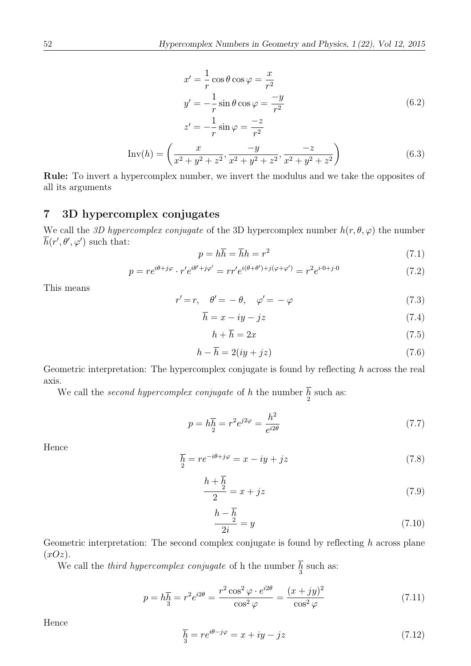$$
x' = \frac{1}{r} \cos \theta \cos \varphi = \frac{x}{r^2}
$$
  

$$
y' = -\frac{1}{r} \sin \theta \cos \varphi = \frac{-y}{r^2}
$$
  

$$
z' = -\frac{1}{r} \sin \varphi = \frac{-z}{r^2}
$$
 (6.2)

$$
Inv(h) = \left(\frac{x}{x^2 + y^2 + z^2}, \frac{-y}{x^2 + y^2 + z^2}, \frac{-z}{x^2 + y^2 + z^2}\right)
$$
(6.3)

Rule: To invert a hypercomplex number, we invert the modulus and we take the opposites of all its arguments

# 7 3D hypercomplex conjugates

We call the 3D hypercomplex conjugate of the 3D hypercomplex number  $h(r, \theta, \varphi)$  the number  $h(r', \theta', \varphi')$  such that:

$$
p = h\overline{h} = \overline{h}h = r^2\tag{7.1}
$$

$$
p = re^{i\theta + j\varphi} \cdot r'e^{i\theta' + j\varphi'} = rr'e^{i(\theta + \theta') + j(\varphi + \varphi')} = r^2e^{i\cdot 0 + j\cdot 0}
$$
\n
$$
(7.2)
$$

This means

$$
r' = r, \quad \theta' = -\theta, \quad \varphi' = -\varphi \tag{7.3}
$$

$$
\overline{h} = x - iy - jz \tag{7.4}
$$

$$
h + \overline{h} = 2x \tag{7.5}
$$

$$
h - \overline{h} = 2(iy + jz) \tag{7.6}
$$

Geometric interpretation: The hypercomplex conjugate is found by reflecting  $h$  across the real axis.

We call the *second hypercomplex conjugate* of  $h$  the number  $\frac{h}{2}$  such as:

$$
p = h\overline{h} = r^2 e^{j2\varphi} = \frac{h^2}{e^{i2\theta}}\tag{7.7}
$$

Hence

$$
\overline{h}_{2} = re^{-i\theta + j\varphi} = x - iy + jz \tag{7.8}
$$

$$
\frac{h+h}{2} = x + jz\tag{7.9}
$$

$$
\frac{h-h}{2i} = y \tag{7.10}
$$

Geometric interpretation: The second complex conjugate is found by reflecting  $h$  across plane  $(xOz).$ 

We call the *third hypercomplex conjugate* of h the number  $h<sub>3</sub>$  such as:

$$
p = h\overline{h} = r^2 e^{i2\theta} = \frac{r^2 \cos^2 \varphi \cdot e^{i2\theta}}{\cos^2 \varphi} = \frac{(x + jy)^2}{\cos^2 \varphi} \tag{7.11}
$$

Hence

$$
\overline{h}_{3} = re^{i\theta - j\varphi} = x + iy - jz \tag{7.12}
$$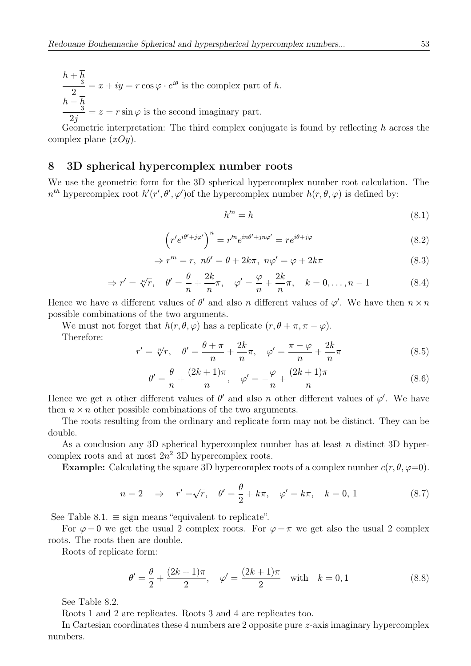$$
\frac{h + \overline{h}}{2}
$$
  
\n
$$
\frac{h - \overline{h}}{2j} = x + iy = r \cos \varphi \cdot e^{i\theta}
$$
 is the complex part of h.  
\n
$$
\frac{h - \overline{h}}{2j} = z = r \sin \varphi
$$
 is the second imaginary part.

Geometric interpretation: The third complex conjugate is found by reflecting  $h$  across the complex plane  $(xOy)$ .

# 8 3D spherical hypercomplex number roots

We use the geometric form for the 3D spherical hypercomplex number root calculation. The  $n^{th}$  hypercomplex root  $h'(r', \theta', \varphi')$  of the hypercomplex number  $h(r, \theta, \varphi)$  is defined by:

$$
h'^n = h \tag{8.1}
$$

$$
\left(r'e^{i\theta'+j\varphi'}\right)^n = r'^n e^{in\theta'+jn\varphi'} = r e^{i\theta+j\varphi}
$$
\n
$$
(8.2)
$$

$$
\Rightarrow r'^n = r, \ n\theta' = \theta + 2k\pi, \ n\varphi' = \varphi + 2k\pi \tag{8.3}
$$

$$
\Rightarrow r' = \sqrt[n]{r}, \quad \theta' = \frac{\theta}{n} + \frac{2k}{n}\pi, \quad \varphi' = \frac{\varphi}{n} + \frac{2k}{n}\pi, \quad k = 0, \dots, n - 1 \tag{8.4}
$$

Hence we have *n* different values of  $\theta'$  and also *n* different values of  $\varphi'$ . We have then  $n \times n$ possible combinations of the two arguments.

We must not forget that  $h(r, \theta, \varphi)$  has a replicate  $(r, \theta + \pi, \pi - \varphi)$ . Therefore:

$$
r' = \sqrt[n]{r}, \quad \theta' = \frac{\theta + \pi}{n} + \frac{2k}{n}\pi, \quad \varphi' = \frac{\pi - \varphi}{n} + \frac{2k}{n}\pi
$$
\n(8.5)

$$
\theta' = \frac{\theta}{n} + \frac{(2k+1)\pi}{n}, \quad \varphi' = -\frac{\varphi}{n} + \frac{(2k+1)\pi}{n}
$$
\n
$$
(8.6)
$$

Hence we get *n* other different values of  $\theta'$  and also *n* other different values of  $\varphi'$ . We have then  $n \times n$  other possible combinations of the two arguments.

The roots resulting from the ordinary and replicate form may not be distinct. They can be double.

As a conclusion any 3D spherical hypercomplex number has at least n distinct 3D hypercomplex roots and at most  $2n^2$  3D hypercomplex roots.

**Example:** Calculating the square 3D hypercomplex roots of a complex number  $c(r, \theta, \varphi=0)$ .

$$
n = 2 \quad \Rightarrow \quad r' = \sqrt{r}, \quad \theta' = \frac{\theta}{2} + k\pi, \quad \varphi' = k\pi, \quad k = 0, 1 \tag{8.7}
$$

See Table 8.1.  $\equiv$  sign means "equivalent to replicate".

For  $\varphi = 0$  we get the usual 2 complex roots. For  $\varphi = \pi$  we get also the usual 2 complex roots. The roots then are double.

Roots of replicate form:

$$
\theta' = \frac{\theta}{2} + \frac{(2k+1)\pi}{2}, \quad \varphi' = \frac{(2k+1)\pi}{2} \quad \text{with} \quad k = 0, 1 \tag{8.8}
$$

See Table 8.2.

Roots 1 and 2 are replicates. Roots 3 and 4 are replicates too.

In Cartesian coordinates these 4 numbers are 2 opposite pure z-axis imaginary hypercomplex numbers.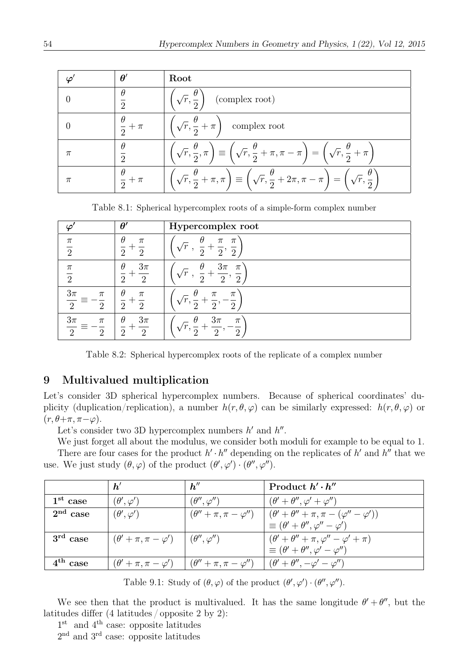|       |                          | Root                                                                                                                                                           |
|-------|--------------------------|----------------------------------------------------------------------------------------------------------------------------------------------------------------|
|       |                          | $\left(\sqrt{r}, \frac{\theta}{2}\right)$ (complex root)                                                                                                       |
|       | $\frac{\theta}{2} + \pi$ | $\sqrt{r}, \frac{\theta}{2} + \pi$ complex root                                                                                                                |
| $\pi$ |                          | $\left(\sqrt{r}, \frac{\theta}{2}, \pi\right) \equiv \left(\sqrt{r}, \frac{\theta}{2} + \pi, \pi - \pi\right) = \left(\sqrt{r}, \frac{\theta}{2} + \pi\right)$ |
| $\pi$ | $rac{1}{2} + \pi$        | $\boxed{\left(\sqrt{r},\frac{\theta}{2}+\pi,\pi\right)\equiv\left(\sqrt{r},\frac{\theta}{2}+2\pi,\pi-\pi\right)=\left(\sqrt{r},\frac{\theta}{2}\right)}$       |

Table 8.1: Spherical hypercomplex roots of a simple-form complex number

|                                                     | $\theta'$                                  | Hypercomplex root                                                                |
|-----------------------------------------------------|--------------------------------------------|----------------------------------------------------------------------------------|
| $\pi$<br>$\overline{2}$                             | $\theta$<br>$\pi$<br>റ                     | $\theta$<br>$\pi$<br>$\pi$<br>r'<br>$\overline{2}$<br>$\overline{2}$<br>$\Omega$ |
| $\pi$<br>$\overline{2}$                             | $3\pi$<br>$\theta$<br>$\Omega$<br>$\Omega$ | $3\pi$<br>$\theta$<br>$\pi$<br>$\overline{2}$<br>$\Omega$                        |
| $3\pi$<br>$\pi$<br>$\overline{2}$<br>$\overline{2}$ | $\theta$<br>$\pi$<br>$\Omega$<br>റ         | $\pi$<br>$\pi$<br>$\Omega$<br>$\overline{2}$                                     |
| $3\pi$<br>$\pi$<br>$\Omega$<br>$\overline{2}$       | $\theta$<br>$3\pi$<br>$\Omega$<br>$\Omega$ | $3\pi$<br>Η<br>$\pi$<br>'m<br>$\Omega$<br>$\Omega$                               |

Table 8.2: Spherical hypercomplex roots of the replicate of a complex number

# 9 Multivalued multiplication

Let's consider 3D spherical hypercomplex numbers. Because of spherical coordinates' duplicity (duplication/replication), a number  $h(r, \theta, \varphi)$  can be similarly expressed:  $h(r, \theta, \varphi)$  or  $(r, \theta + \pi, \pi - \varphi).$ 

Let's consider two 3D hypercomplex numbers  $h'$  and  $h''$ .

We just forget all about the modulus, we consider both moduli for example to be equal to 1. There are four cases for the product  $h' \cdot h''$  depending on the replicates of h' and h<sup>o</sup> that we use. We just study  $(\theta, \varphi)$  of the product  $(\theta', \varphi') \cdot (\theta'', \varphi'')$ .

|            | h'                                                                                                                                 | h''                     | Product $h' \cdot h''$                                                                                                    |
|------------|------------------------------------------------------------------------------------------------------------------------------------|-------------------------|---------------------------------------------------------------------------------------------------------------------------|
| $1st$ case | $(\theta', \varphi')$                                                                                                              | $(\theta'', \varphi'')$ | $(\theta' + \theta'', \varphi' + \varphi'')$                                                                              |
| $2nd$ case | $(\theta', \varphi')$                                                                                                              |                         | $(\theta'' + \pi, \pi - \varphi'')$ $(\theta' + \theta'' + \pi, \pi - (\varphi'' - \varphi'))$                            |
|            |                                                                                                                                    |                         | $\equiv (\theta' + \theta'', \varphi'' - \varphi')$                                                                       |
| $3rd$ case | $\left( \theta^{\prime}+\pi,\pi-\varphi^{\prime}\right) \left( \left( \theta^{\prime\prime},\varphi^{\prime\prime}\right) \right)$ |                         | $(\theta' + \theta'' + \pi, \varphi'' - \varphi' + \pi)$                                                                  |
|            |                                                                                                                                    |                         | $\equiv (\theta' + \theta'', \varphi' - \varphi'')$                                                                       |
| $4th$ case |                                                                                                                                    |                         | $(\theta' + \pi, \pi - \varphi') \mid (\theta'' + \pi, \pi - \varphi'') \mid (\theta' + \theta'', -\varphi' - \varphi'')$ |

Table 9.1: Study of  $(\theta, \varphi)$  of the product  $(\theta', \varphi') \cdot (\theta'', \varphi'')$ .

We see then that the product is multivalued. It has the same longitude  $\theta' + \theta''$ , but the latitudes differ (4 latitudes / opposite 2 by 2):

 $1<sup>st</sup>$  and  $4<sup>th</sup>$  case: opposite latitudes

2<sup>nd</sup> and 3<sup>rd</sup> case: opposite latitudes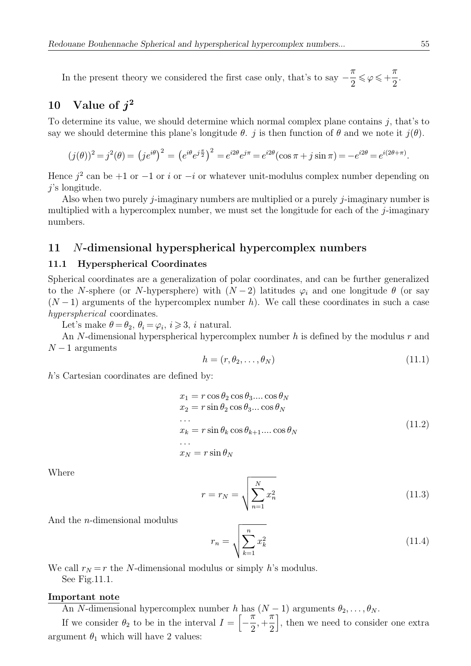In the present theory we considered the first case only, that's to say  $-\frac{\pi}{2} \leq \varphi \leq +$ π 2

# 10 Value of  $i^2$

To determine its value, we should determine which normal complex plane contains  $j$ , that's to say we should determine this plane's longitude  $\theta$ . j is then function of  $\theta$  and we note it  $j(\theta)$ .

$$
(j(\theta))^2 = j^2(\theta) = (je^{i\theta})^2 = (e^{i\theta}e^{j\frac{\pi}{2}})^2 = e^{i2\theta}e^{j\pi} = e^{i2\theta}(\cos \pi + j\sin \pi) = -e^{i2\theta} = e^{i(2\theta + \pi)}.
$$

Hence  $j^2$  can be +1 or −1 or i or −i or whatever unit-modulus complex number depending on j's longitude.

Also when two purely *j*-imaginary numbers are multiplied or a purely *j*-imaginary number is multiplied with a hypercomplex number, we must set the longitude for each of the  $j$ -imaginary numbers.

# 11 N-dimensional hyperspherical hypercomplex numbers

## 11.1 Hyperspherical Coordinates

Spherical coordinates are a generalization of polar coordinates, and can be further generalized to the N-sphere (or N-hypersphere) with  $(N-2)$  latitudes  $\varphi_i$  and one longitude  $\theta$  (or say  $(N-1)$  arguments of the hypercomplex number h). We call these coordinates in such a case hyperspherical coordinates.

Let's make  $\theta = \theta_2$ ,  $\theta_i = \varphi_i$ ,  $i \ge 3$ , i natural.

An N-dimensional hyperspherical hypercomplex number  $h$  is defined by the modulus  $r$  and  $N-1$  arguments

$$
h = (r, \theta_2, \dots, \theta_N) \tag{11.1}
$$

h's Cartesian coordinates are defined by:

$$
x_1 = r \cos \theta_2 \cos \theta_3 \dots \cos \theta_N
$$
  
\n
$$
x_2 = r \sin \theta_2 \cos \theta_3 \dots \cos \theta_N
$$
  
\n...  
\n
$$
x_k = r \sin \theta_k \cos \theta_{k+1} \dots \cos \theta_N
$$
  
\n...  
\n
$$
x_N = r \sin \theta_N
$$
  
\n(11.2)

Where

$$
r = r_N = \sqrt{\sum_{n=1}^{N} x_n^2}
$$
 (11.3)

And the n-dimensional modulus

$$
r_n = \sqrt{\sum_{k=1}^n x_k^2} \tag{11.4}
$$

We call  $r_N = r$  the N-dimensional modulus or simply h's modulus.

See Fig.11.1.

#### Important note

An N-dimensional hypercomplex number h has  $(N-1)$  arguments  $\theta_2, \ldots, \theta_N$ .

If we consider  $\theta_2$  to be in the interval  $I = \left[-\frac{\pi}{2}\right]$ , + π 2 , then we need to consider one extra argument  $\theta_1$  which will have 2 values:

.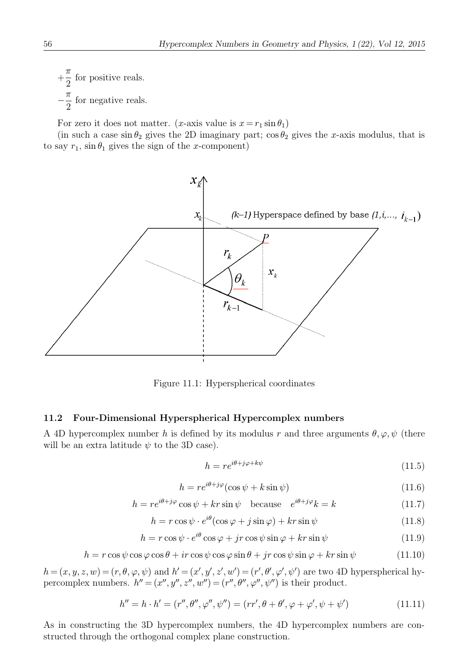$+$ π  $\frac{\pi}{2}$  for positive reals.  $-\frac{\pi}{2}$  for negative reals.

For zero it does not matter. (x-axis value is  $x = r_1 \sin \theta_1$ )

(in such a case  $\sin \theta_2$  gives the 2D imaginary part;  $\cos \theta_2$  gives the x-axis modulus, that is to say  $r_1$ ,  $\sin \theta_1$  gives the sign of the x-component)



Figure 11.1: Hyperspherical coordinates

#### 11.2 Four-Dimensional Hyperspherical Hypercomplex numbers

A 4D hypercomplex number h is defined by its modulus r and three arguments  $\theta, \varphi, \psi$  (there will be an extra latitude  $\psi$  to the 3D case).

$$
h = re^{i\theta + j\varphi + k\psi} \tag{11.5}
$$

$$
h = re^{i\theta + j\varphi}(\cos\psi + k\sin\psi)
$$
 (11.6)

$$
h = re^{i\theta + j\varphi} \cos \psi + kr \sin \psi \quad \text{because} \quad e^{i\theta + j\varphi} k = k \tag{11.7}
$$

$$
h = r \cos \psi \cdot e^{i\theta} (\cos \varphi + j \sin \varphi) + kr \sin \psi \tag{11.8}
$$

$$
h = r \cos \psi \cdot e^{i\theta} \cos \varphi + jr \cos \psi \sin \varphi + kr \sin \psi \tag{11.9}
$$

$$
h = r\cos\psi\cos\varphi\cos\theta + ir\cos\psi\cos\varphi\sin\theta + jr\cos\psi\sin\varphi + kr\sin\psi \tag{11.10}
$$

 $h = (x, y, z, w) = (r, \theta, \varphi, \psi)$  and  $h' = (x', y', z', w') = (r', \theta', \varphi', \psi')$  are two 4D hyperspherical hypercomplex numbers.  $h'' = (x'', y'', z'', w'') = (r'', \theta'', \varphi'', \psi'')$  is their product.

$$
h'' = h \cdot h' = (r'', \theta'', \varphi'', \psi'') = (rr', \theta + \theta', \varphi + \varphi', \psi + \psi')
$$
(11.11)

As in constructing the 3D hypercomplex numbers, the 4D hypercomplex numbers are constructed through the orthogonal complex plane construction.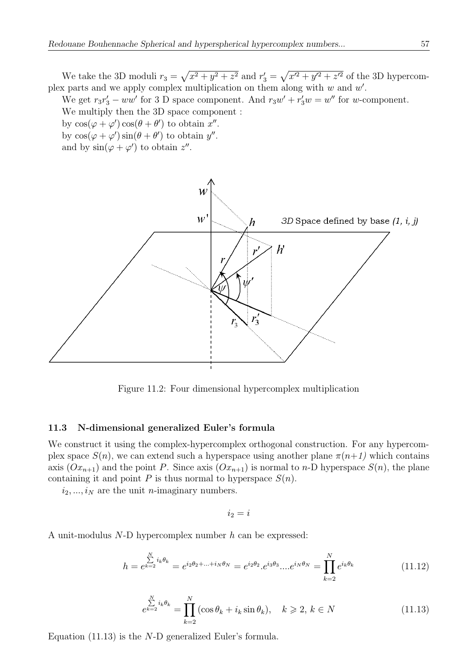We take the 3D moduli  $r_3 = \sqrt{x^2 + y^2 + z^2}$  and  $r'_3 = \sqrt{x'^2 + y'^2 + z'^2}$  of the 3D hypercomplex parts and we apply complex multiplication on them along with  $w$  and  $w'$ .

We get  $r_3r'_3 - ww'$  for 3 D space component. And  $r_3w' + r'_3w = w''$  for w-component. We multiply then the 3D space component :

by  $\cos(\varphi + \varphi')\cos(\theta + \theta')$  to obtain x''. by  $\cos(\varphi + \varphi')\sin(\theta + \theta')$  to obtain  $y''$ .

and by  $\sin(\varphi + \varphi')$  to obtain  $z''$ .



Figure 11.2: Four dimensional hypercomplex multiplication

#### 11.3 N-dimensional generalized Euler's formula

We construct it using the complex-hypercomplex orthogonal construction. For any hypercomplex space  $S(n)$ , we can extend such a hyperspace using another plane  $\pi(n+1)$  which contains axis  $(Ox_{n+1})$  and the point P. Since axis  $(Ox_{n+1})$  is normal to n-D hyperspace  $S(n)$ , the plane containing it and point P is thus normal to hyperspace  $S(n)$ .

 $i_2, ..., i_N$  are the unit *n*-imaginary numbers.

$$
i_2 = i
$$

A unit-modulus N-D hypercomplex number h can be expressed:

$$
h = e^{k=2} \sum_{k=2}^{N} i_k \theta_k = e^{i_2 \theta_2 + \dots + i_N \theta_N} = e^{i_2 \theta_2} \cdot e^{i_3 \theta_3} \dots e^{i_N \theta_N} = \prod_{k=2}^{N} e^{i_k \theta_k}
$$
 (11.12)

$$
e^{\sum_{k=2}^{N} i_k \theta_k} = \prod_{k=2}^{N} (\cos \theta_k + i_k \sin \theta_k), \quad k \ge 2, k \in N
$$
\n(11.13)

Equation  $(11.13)$  is the N-D generalized Euler's formula.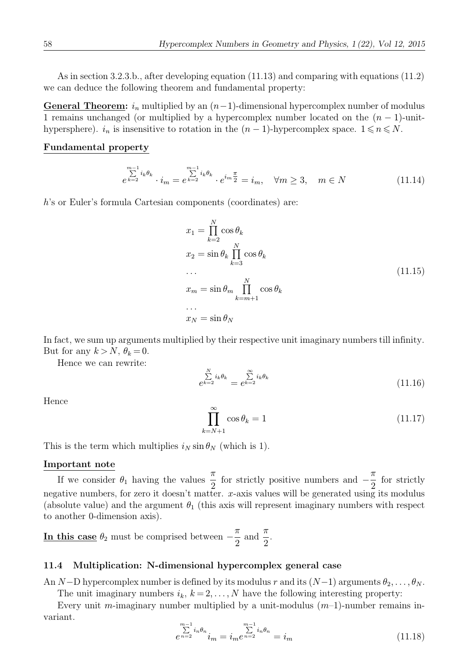As in section 3.2.3.b., after developing equation (11.13) and comparing with equations (11.2) we can deduce the following theorem and fundamental property:

General Theorem:  $i_n$  multiplied by an  $(n-1)$ -dimensional hypercomplex number of modulus 1 remains unchanged (or multiplied by a hypercomplex number located on the  $(n - 1)$ -unithypersphere).  $i_n$  is insensitive to rotation in the  $(n-1)$ -hypercomplex space.  $1 \leq n \leq N$ .

### Fundamental property

$$
\sum_{e^{k=2}}^{m-1} i_k \theta_k \cdot i_m = e^{\sum_{k=2}^{m-1} i_k \theta_k} \cdot e^{i_m \frac{\pi}{2}} = i_m, \quad \forall m \ge 3, \quad m \in N
$$
 (11.14)

h's or Euler's formula Cartesian components (coordinates) are:

$$
x_1 = \prod_{k=2}^{N} \cos \theta_k
$$
  
\n
$$
x_2 = \sin \theta_k \prod_{k=3}^{N} \cos \theta_k
$$
  
\n...  
\n
$$
x_m = \sin \theta_m \prod_{k=m+1}^{N} \cos \theta_k
$$
  
\n...  
\n
$$
x_N = \sin \theta_N
$$
  
\n(11.15)

In fact, we sum up arguments multiplied by their respective unit imaginary numbers till infinity. But for any  $k > N$ ,  $\theta_k = 0$ .

Hence we can rewrite:

$$
\sum_{k=2}^{N} i_k \theta_k = e^{k-2} i_k \theta_k
$$
\n(11.16)

Hence

$$
\prod_{k=N+1}^{\infty} \cos \theta_k = 1 \tag{11.17}
$$

This is the term which multiplies  $i_N \sin \theta_N$  (which is 1).

## Important note

If we consider  $\theta_1$  having the values  $\frac{\pi}{2}$  for strictly positive numbers and  $-\frac{\pi}{2}$  for strictly negative numbers, for zero it doesn't matter. x-axis values will be generated using its modulus (absolute value) and the argument  $\theta_1$  (this axis will represent imaginary numbers with respect to another 0-dimension axis).

In this case  $\theta_2$  must be comprised between  $-\frac{\pi}{2}$ and  $\frac{\pi}{2}$ 2 .

## 11.4 Multiplication: N-dimensional hypercomplex general case

An N−D hypercomplex number is defined by its modulus r and its  $(N-1)$  arguments  $\theta_2, \ldots, \theta_N$ .

The unit imaginary numbers  $i_k$ ,  $k = 2, \ldots, N$  have the following interesting property: Every unit m-imaginary number multiplied by a unit-modulus  $(m-1)$ -number remains invariant.

$$
\sum_{e=2}^{m-1} i_n \theta_n \sum_{i_m = i_m e^{n-2}}^{m-1} i_n \theta_n = i_m \tag{11.18}
$$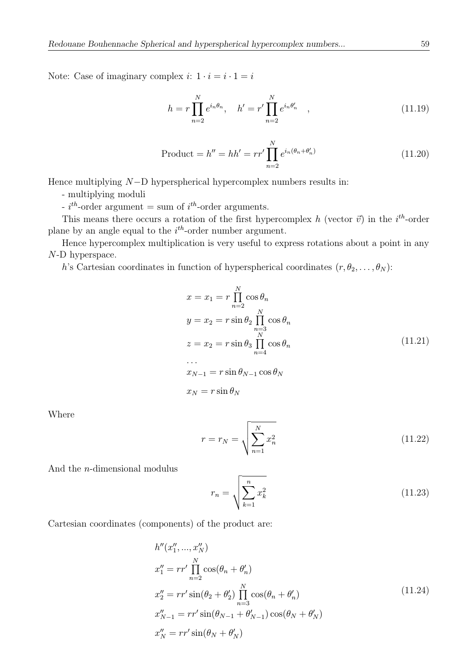Note: Case of imaginary complex  $i: 1 \cdot i = i \cdot 1 = i$ 

$$
h = r \prod_{n=2}^{N} e^{i_n \theta_n}, \quad h' = r' \prod_{n=2}^{N} e^{i_n \theta'_n} \quad ,
$$
 (11.19)

Product = 
$$
h'' = hh' = rr' \prod_{n=2}^{N} e^{i_n(\theta_n + \theta'_n)}
$$
 (11.20)

Hence multiplying N−D hyperspherical hypercomplex numbers results in:

- multiplying moduli

 $i^{th}$ -order argument = sum of  $i^{th}$ -order arguments.

This means there occurs a rotation of the first hypercomplex h (vector  $\vec{v}$ ) in the i<sup>th</sup>-order plane by an angle equal to the  $i<sup>th</sup>$ -order number argument.

Hence hypercomplex multiplication is very useful to express rotations about a point in any N-D hyperspace.

h's Cartesian coordinates in function of hyperspherical coordinates  $(r, \theta_2, \ldots, \theta_N)$ :

$$
x = x_1 = r \prod_{n=2}^{N} \cos \theta_n
$$
  
\n
$$
y = x_2 = r \sin \theta_2 \prod_{\substack{n=3 \ n=3}}^{N} \cos \theta_n
$$
  
\n
$$
z = x_2 = r \sin \theta_3 \prod_{n=4}^{N} \cos \theta_n
$$
  
\n...  
\n
$$
x_{N-1} = r \sin \theta_{N-1} \cos \theta_N
$$
  
\n
$$
x_N = r \sin \theta_N
$$
  
\n(11.21)

Where

$$
r = r_N = \sqrt{\sum_{n=1}^{N} x_n^2}
$$
 (11.22)

And the n-dimensional modulus

$$
r_n = \sqrt{\sum_{k=1}^n x_k^2}
$$
 (11.23)

Cartesian coordinates (components) of the product are:

$$
h''(x_1'',...,x_N'')
$$
  
\n
$$
x_1'' = rr' \prod_{n=2}^N \cos(\theta_n + \theta'_n)
$$
  
\n
$$
x_2'' = rr' \sin(\theta_2 + \theta'_2) \prod_{n=3}^N \cos(\theta_n + \theta'_n)
$$
  
\n
$$
x_{N-1}'' = rr' \sin(\theta_{N-1} + \theta'_{N-1}) \cos(\theta_N + \theta'_N)
$$
  
\n
$$
x_N'' = rr' \sin(\theta_N + \theta'_N)
$$
\n(11.24)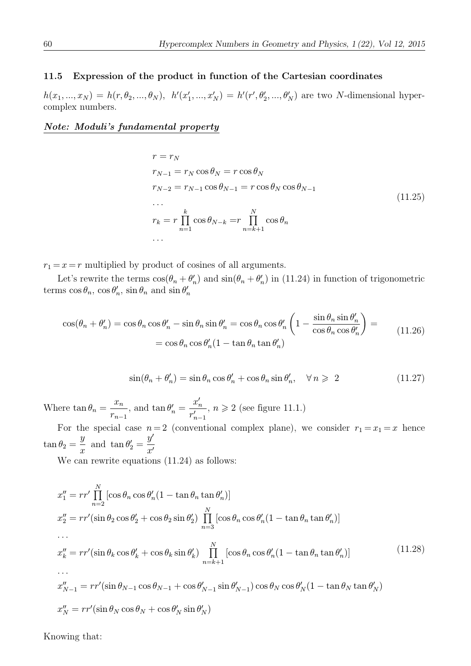## 11.5 Expression of the product in function of the Cartesian coordinates

 $h(x_1, ..., x_N) = h(r, \theta_2, ..., \theta_N), h'(x'_1, ..., x'_N) = h'(r', \theta'_2, ..., \theta'_N)$  are two N-dimensional hypercomplex numbers.

## Note: Moduli's fundamental property

$$
r = r_N
$$
  
\n
$$
r_{N-1} = r_N \cos \theta_N = r \cos \theta_N
$$
  
\n
$$
r_{N-2} = r_{N-1} \cos \theta_{N-1} = r \cos \theta_N \cos \theta_{N-1}
$$
  
\n...  
\n
$$
r_k = r \prod_{n=1}^k \cos \theta_{N-k} = r \prod_{n=k+1}^N \cos \theta_n
$$
  
\n...  
\n(11.25)

 $r_1 = x = r$  multiplied by product of cosines of all arguments.

Let's rewrite the terms  $cos(\theta_n + \theta'_n)$  and  $sin(\theta_n + \theta'_n)$  in (11.24) in function of trigonometric terms  $\cos \theta_n$ ,  $\cos \theta'_n$ ,  $\sin \theta_n$  and  $\sin \theta'_n$ 

$$
\cos(\theta_n + \theta'_n) = \cos\theta_n \cos\theta'_n - \sin\theta_n \sin\theta'_n = \cos\theta_n \cos\theta'_n \left(1 - \frac{\sin\theta_n \sin\theta'_n}{\cos\theta_n \cos\theta'_n}\right) =
$$
  
=  $\cos\theta_n \cos\theta'_n (1 - \tan\theta_n \tan\theta'_n)$  (11.26)

$$
\sin(\theta_n + \theta'_n) = \sin \theta_n \cos \theta'_n + \cos \theta_n \sin \theta'_n, \quad \forall n \geq 2 \tag{11.27}
$$

Where  $\tan \theta_n = \frac{x_n}{x_n}$  $r_{n-1}$ , and  $\tan \theta_n' = \frac{x'_n}{n'}$  $r'_{n-1}$ ,  $n \geqslant 2$  (see figure 11.1.)

For the special case  $n=2$  (conventional complex plane), we consider  $r_1 = x_1 = x$  hence  $\tan \theta_2 = \frac{y}{x}$  and  $\tan \theta'_2 = \frac{y'}{x'}$ 

We can rewrite equations  $(11.24)$  as follows:

$$
x_1'' = rr'\prod_{n=2}^N [\cos\theta_n \cos\theta'_n (1 - \tan\theta_n \tan\theta'_n)]
$$
  
\n
$$
x_2'' = rr'(\sin\theta_2 \cos\theta'_2 + \cos\theta_2 \sin\theta'_2) \prod_{n=3}^N [\cos\theta_n \cos\theta'_n (1 - \tan\theta_n \tan\theta'_n)]
$$
  
\n...  
\n
$$
x_k'' = rr'(\sin\theta_k \cos\theta'_k + \cos\theta_k \sin\theta'_k) \prod_{n=k+1}^N [\cos\theta_n \cos\theta'_n (1 - \tan\theta_n \tan\theta'_n)]
$$
  
\n...  
\n
$$
x_{N-1}'' = rr'(\sin\theta_{N-1} \cos\theta_{N-1} + \cos\theta'_{N-1} \sin\theta'_{N-1}) \cos\theta_N \cos\theta'_N (1 - \tan\theta_N \tan\theta'_N)
$$
  
\n
$$
x_N'' = rr'(\sin\theta_N \cos\theta_N + \cos\theta'_N \sin\theta'_N)
$$
  
\n(11.28)

Knowing that: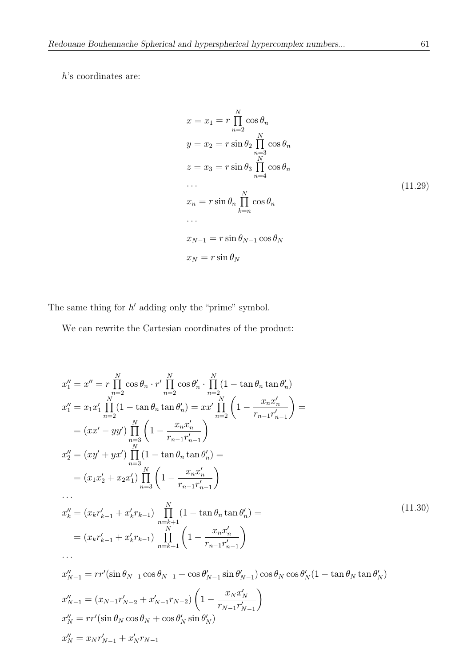h's coordinates are:

$$
x = x_1 = r \prod_{n=2}^{N} \cos \theta_n
$$
  
\n
$$
y = x_2 = r \sin \theta_2 \prod_{\substack{n=3 \ n \text{ odd}}}^{N} \cos \theta_n
$$
  
\n
$$
z = x_3 = r \sin \theta_3 \prod_{n=4}^{N} \cos \theta_n
$$
  
\n...  
\n
$$
x_n = r \sin \theta_n \prod_{k=n}^{N} \cos \theta_n
$$
  
\n...  
\n
$$
x_{N-1} = r \sin \theta_{N-1} \cos \theta_N
$$
  
\n
$$
x_N = r \sin \theta_N
$$
  
\n(11.29)

The same thing for  $h'$  adding only the "prime" symbol.

We can rewrite the Cartesian coordinates of the product:

$$
x_1'' = x'' = r \prod_{n=2}^{N} \cos \theta_n \cdot r' \prod_{n=2}^{N} \cos \theta'_n \cdot \prod_{n=2}^{N} (1 - \tan \theta_n \tan \theta'_n)
$$
  
\n
$$
x_1'' = x_1 x_1' \prod_{n=2}^{N} (1 - \tan \theta_n \tan \theta'_n) = x x' \prod_{n=2}^{N} \left( 1 - \frac{x_n x'_n}{r_{n-1} r'_{n-1}} \right)
$$
  
\n
$$
= (x x' - y y') \prod_{n=3}^{N} \left( 1 - \frac{x_n x'_n}{r_{n-1} r'_{n-1}} \right)
$$
  
\n
$$
x_2'' = (xy' + y x') \prod_{n=3}^{N} (1 - \tan \theta_n \tan \theta'_n) =
$$
  
\n
$$
= (x_1 x_2' + x_2 x_1') \prod_{n=3}^{N} \left( 1 - \frac{x_n x'_n}{r_{n-1} r'_{n-1}} \right)
$$
  
\n...  
\n
$$
x_k'' = (x_k r'_{k-1} + x'_k r_{k-1}) \prod_{n=k+1}^{N} (1 - \tan \theta_n \tan \theta'_n) =
$$
  
\n
$$
= (x_k r'_{k-1} + x'_k r_{k-1}) \prod_{n=k+1}^{N} \left( 1 - \frac{x_n x'_n}{r_{n-1} r'_{n-1}} \right)
$$
  
\n...  
\n
$$
x_{N-1}'' = rr'(\sin \theta_{N-1} \cos \theta_{N-1} + \cos \theta'_{N-1} \sin \theta'_{N-1}) \cos \theta_N \cos \theta'_N (1 - \tan \theta_N \tan \theta'_N)
$$
  
\n
$$
x_{N-1}'' = (x_{N-1} r'_{N-2} + x'_{N-1} r_{N-2}) \left( 1 - \frac{x_N x'_N}{r_{N-1} r'_{N-1}} \right)
$$
  
\n
$$
x_N'' = rr'(\sin \theta_N \cos \theta_N + \cos \theta'_N \sin \theta'_N)
$$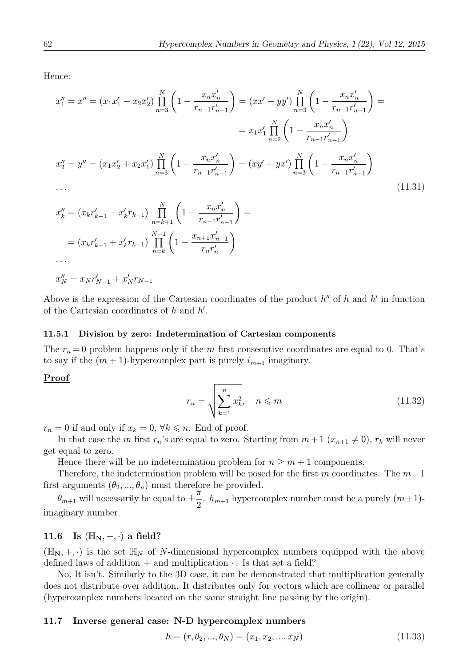Hence:

$$
x_1'' = x'' = (x_1x_1' - x_2x_2') \prod_{n=3}^N \left(1 - \frac{x_nx_n'}{r_{n-1}r_{n-1}'}\right) = (xx' - yy') \prod_{n=3}^N \left(1 - \frac{x_nx_n'}{r_{n-1}r_{n-1}'}\right) =
$$
  

$$
= x_1x_1' \prod_{n=2}^N \left(1 - \frac{x_nx_n'}{r_{n-1}r_{n-1}'}\right)
$$
  

$$
x_2'' = y'' = (x_1x_2' + x_2x_1') \prod_{n=3}^N \left(1 - \frac{x_nx_n'}{r_{n-1}r_{n-1}'}\right) = (xy' + yx') \prod_{n=3}^N \left(1 - \frac{x_nx_n'}{r_{n-1}r_{n-1}'}\right)
$$
  
...  

$$
...
$$
  
(11.31)

$$
x_k'' = (x_k r_{k-1}' + x_k' r_{k-1}) \prod_{n=k+1}^N \left(1 - \frac{x_n x_n'}{r_{n-1} r_{n-1}'}\right) =
$$
  
=  $(x_k r_{k-1}' + x_k' r_{k-1}) \prod_{n=k}^{N-1} \left(1 - \frac{x_{n+1} x_{n+1}'}{r_n r_n'}\right)$   
...

 $x_N'' = x_N r_{N-1}' + x_N' r_{N-1}$ 

Above is the expression of the Cartesian coordinates of the product  $h''$  of h and h' in function of the Cartesian coordinates of  $h$  and  $h'$ .

#### 11.5.1 Division by zero: Indetermination of Cartesian components

The  $r_n = 0$  problem happens only if the m first consecutive coordinates are equal to 0. That's to say if the  $(m + 1)$ -hypercomplex part is purely  $i_{m+1}$  imaginary.

#### Proof

$$
r_n = \sqrt{\sum_{k=1}^n x_k^2}, \quad n \leq m \tag{11.32}
$$

 $r_n = 0$  if and only if  $x_k = 0$ ,  $\forall k \leq n$ . End of proof.

In that case the m first  $r_n$ 's are equal to zero. Starting from  $m+1$   $(x_{n+1}\neq 0)$ ,  $r_k$  will never get equal to zero.

Hence there will be no indetermination problem for  $n \geq m+1$  components.

Therefore, the indetermination problem will be posed for the first m coordinates. The  $m-1$ first arguments  $(\theta_2, ..., \theta_n)$  must therefore be provided.

 $\theta_{m+1}$  will necessarily be equal to  $\pm$ π  $\frac{n}{2}$ .  $h_{m+1}$  hypercomplex number must be a purely  $(m+1)$ imaginary number.

# 11.6 Is  $(\mathbb{H}_{N}, +, \cdot)$  a field?

 $(\mathbb{H}_{\mathbb{N}}, +, \cdot)$  is the set  $\mathbb{H}_{N}$  of N-dimensional hypercomplex numbers equipped with the above defined laws of addition + and multiplication  $\cdot$ . Is that set a field?

No, It isn't. Similarly to the 3D case, it can be demonstrated that multiplication generally does not distribute over addition. It distributes only for vectors which are collinear or parallel (hypercomplex numbers located on the same straight line passing by the origin).

### 11.7 Inverse general case: N-D hypercomplex numbers

$$
h = (r, \theta_2, ..., \theta_N) = (x_1, x_2, ..., x_N)
$$
\n(11.33)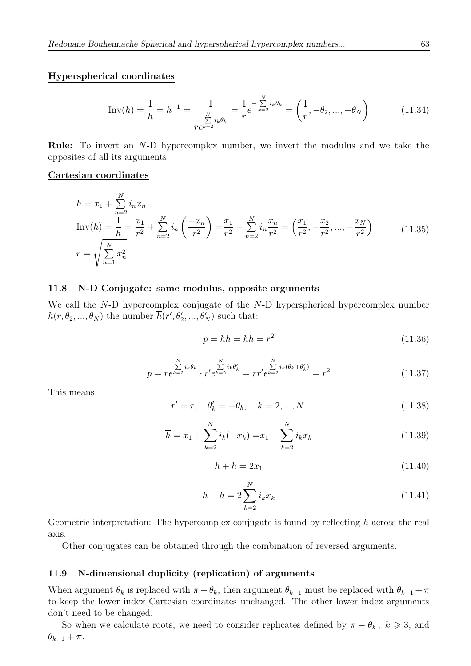#### Hyperspherical coordinates

$$
\text{Inv}(h) = \frac{1}{h} = h^{-1} = \frac{1}{\sum_{\substack{N \ \Sigma i_k \theta_k}}^{N} = \frac{1}{r} e^{-\sum_{k=2}^{N} i_k \theta_k}} = \left(\frac{1}{r}, -\theta_2, ..., -\theta_N\right)
$$
(11.34)

Rule: To invert an N-D hypercomplex number, we invert the modulus and we take the opposites of all its arguments

#### Cartesian coordinates

$$
h = x_1 + \sum_{n=2}^{N} i_n x_n
$$
  
\n
$$
Inv(h) = \frac{1}{h} = \frac{x_1}{r^2} + \sum_{n=2}^{N} i_n \left(\frac{-x_n}{r^2}\right) = \frac{x_1}{r^2} - \sum_{n=2}^{N} i_n \frac{x_n}{r^2} = \left(\frac{x_1}{r^2}, -\frac{x_2}{r^2}, \dots, -\frac{x_N}{r^2}\right)
$$
  
\n
$$
r = \sqrt{\sum_{n=1}^{N} x_n^2}
$$
\n(11.35)

### 11.8 N-D Conjugate: same modulus, opposite arguments

We call the N-D hypercomplex conjugate of the N-D hyperspherical hypercomplex number  $h(r, \theta_2, ..., \theta_N)$  the number  $h(r', \theta'_2, ..., \theta'_N)$  such that:

$$
p = h\overline{h} = \overline{h}h = r^2 \tag{11.36}
$$

$$
p = re^{k=2} \tbinom{N}{k} i_k \theta_k \cdot r' e^{k=2} i_k \theta'_k = r r' e^{k=2} i_k (\theta_k + \theta'_k) = r^2 \tag{11.37}
$$

This means

$$
r' = r, \quad \theta'_k = -\theta_k, \quad k = 2, ..., N. \tag{11.38}
$$

$$
\overline{h} = x_1 + \sum_{k=2}^{N} i_k(-x_k) = x_1 - \sum_{k=2}^{N} i_k x_k
$$
\n(11.39)

$$
h + \overline{h} = 2x_1 \tag{11.40}
$$

$$
h - \overline{h} = 2 \sum_{k=2}^{N} i_k x_k \tag{11.41}
$$

Geometric interpretation: The hypercomplex conjugate is found by reflecting h across the real axis.

Other conjugates can be obtained through the combination of reversed arguments.

#### 11.9 N-dimensional duplicity (replication) of arguments

When argument  $\theta_k$  is replaced with  $\pi - \theta_k$ , then argument  $\theta_{k-1}$  must be replaced with  $\theta_{k-1} + \pi$ to keep the lower index Cartesian coordinates unchanged. The other lower index arguments don't need to be changed.

So when we calculate roots, we need to consider replicates defined by  $\pi - \theta_k$ ,  $k \geq 3$ , and  $\theta_{k-1} + \pi$ .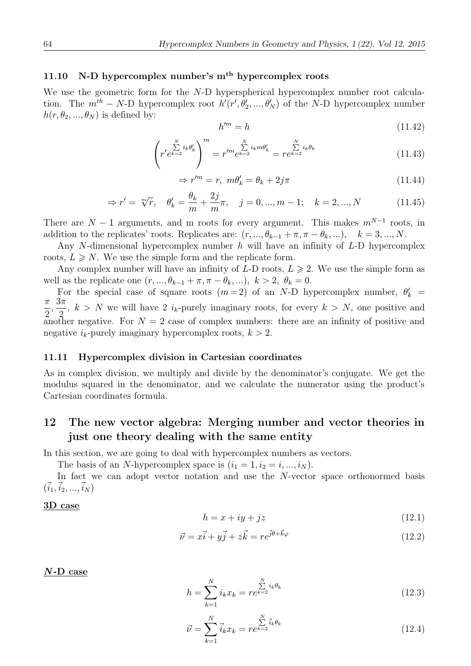# 11.10 N-D hypercomplex number's  $m<sup>th</sup>$  hypercomplex roots

We use the geometric form for the N-D hyperspherical hypercomplex number root calculation. The  $m^{th} - N$ -D hypercomplex root  $h'(r', \theta'_2, ..., \theta'_N)$  of the N-D hypercomplex number  $h(r, \theta_2, ..., \theta_N)$  is defined by:

$$
h^{\prime m} = h \tag{11.42}
$$

$$
\left(r' e^{\sum_{k=2}^{N} i_k \theta'_k}\right)^m = r'^m e^{\sum_{k=2}^{N} i_k m \theta'_k} = r e^{k-2} e^{i_k \theta_k}
$$
\n(11.43)

$$
\Rightarrow r^{\prime m} = r, \ m\theta_k' = \theta_k + 2j\pi \tag{11.44}
$$

$$
\Rightarrow r' = \sqrt[m]{r}, \quad \theta'_k = \frac{\theta_k}{m} + \frac{2j}{m}\pi, \quad j = 0, ..., m - 1; \quad k = 2, ..., N
$$
 (11.45)

There are  $N-1$  arguments, and m roots for every argument. This makes  $m^{N-1}$  roots, in addition to the replicates' roots. Replicates are:  $(r, ..., \theta_{k-1} + \pi, \pi - \theta_k, ...)$ ,  $k = 3, ..., N$ .

Any N-dimensional hypercomplex number  $h$  will have an infinity of  $L$ -D hypercomplex roots,  $L \geq N$ . We use the simple form and the replicate form.

Any complex number will have an infinity of  $L$ -D roots,  $L \geq 2$ . We use the simple form as well as the replicate one  $(r, ..., \theta_{k-1} + \pi, \pi - \theta_k, ...)$ ,  $k > 2$ ,  $\theta_k = 0$ .

For the special case of square roots  $(m=2)$  of an N-D hypercomplex number,  $\theta'_{k}$ For the special case of square roots  $(m=2)$  of an N-D hypercomplex number,  $\theta'_k = \pi \frac{3\pi}{2}$ 2  $\frac{3\pi}{2}$  $\frac{2}{3}$ ,  $k > N$  we will have 2 i<sub>k</sub>-purely imaginary roots, for every  $k > N$ , one positive and another negative. For  $N = 2$  case of complex numbers: there are an infinity of positive and negative  $i_k$ -purely imaginary hypercomplex roots,  $k > 2$ .

#### 11.11 Hypercomplex division in Cartesian coordinates

As in complex division, we multiply and divide by the denominator's conjugate. We get the modulus squared in the denominator, and we calculate the numerator using the product's Cartesian coordinates formula.

# 12 The new vector algebra: Merging number and vector theories in just one theory dealing with the same entity

In this section, we are going to deal with hypercomplex numbers as vectors.

The basis of an N-hypercomplex space is  $(i_1 = 1, i_2 = i, ..., i_N)$ .

In fact we can adopt vector notation and use the N-vector space orthonormed basis  $(i_1,i_2, ..., i_N)$ 

### 3D case

$$
h = x + iy + jz \tag{12.1}
$$

$$
\vec{\nu} = x\vec{i} + y\vec{j} + z\vec{k} = re^{j\theta + \vec{k}\varphi}
$$
\n(12.2)

#### $N$ -D case

$$
h = \sum_{k=1}^{N} i_k x_k = r e^{k-2} i_k \theta_k
$$
\n(12.3)

$$
\vec{\nu} = \sum_{k=1}^{N} \vec{i}_k x_k = r e^{k=2} \vec{i}_k \theta_k
$$
\n(12.4)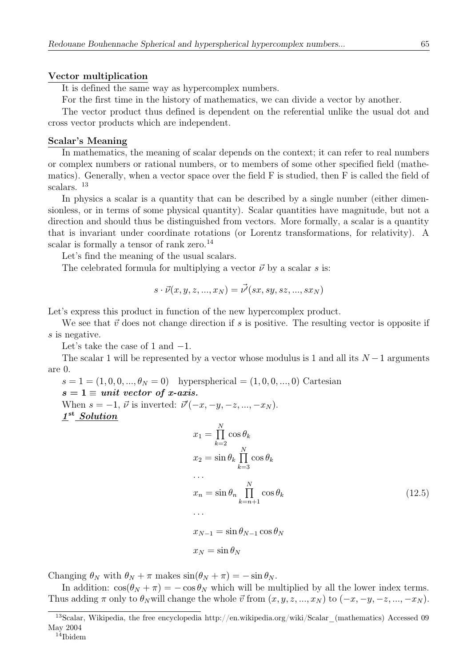#### Vector multiplication

It is defined the same way as hypercomplex numbers.

For the first time in the history of mathematics, we can divide a vector by another.

The vector product thus defined is dependent on the referential unlike the usual dot and cross vector products which are independent.

#### Scalar's Meaning

In mathematics, the meaning of scalar depends on the context; it can refer to real numbers or complex numbers or rational numbers, or to members of some other specified field (mathematics). Generally, when a vector space over the field F is studied, then F is called the field of scalars. <sup>13</sup>

In physics a scalar is a quantity that can be described by a single number (either dimensionless, or in terms of some physical quantity). Scalar quantities have magnitude, but not a direction and should thus be distinguished from vectors. More formally, a scalar is a quantity that is invariant under coordinate rotations (or Lorentz transformations, for relativity). A scalar is formally a tensor of rank zero.<sup>14</sup>

Let's find the meaning of the usual scalars.

The celebrated formula for multiplying a vector  $\vec{\nu}$  by a scalar s is:

$$
s\cdot \vec{\nu}(x,y,z,...,x_N)=\vec{\nu'}(sx,sy,sz,...,sx_N)
$$

Let's express this product in function of the new hypercomplex product.

We see that  $\vec{v}$  does not change direction if s is positive. The resulting vector is opposite if s is negative.

Let's take the case of 1 and  $-1$ .

The scalar 1 will be represented by a vector whose modulus is 1 and all its  $N-1$  arguments are 0.

$$
s = 1 = (1, 0, 0, ..., \theta_N = 0) \quad \text{hyperspherical} = (1, 0, 0, ..., 0) \quad \text{Cartesian}
$$
\n
$$
s = 1 \equiv \text{unit vector of } x\text{-axis.}
$$
\nWhen  $s = -1$ ,  $\vec{\nu}$  is inverted:  $\vec{\nu}'(-x, -y, -z, ..., -x_N)$ .\n
$$
\underline{\mathbf{I}}^{\text{st}} \underline{\text{Solution}}
$$
\n
$$
x_1 = \prod_{k=2}^{N} \cos \theta_k
$$
\n
$$
x_2 = \sin \theta_k \prod_{k=3}^{N} \cos \theta_k
$$
\n
$$
\dots
$$
\n
$$
x_n = \sin \theta_n \prod_{k=n+1}^{N} \cos \theta_k
$$
\n
$$
x_{N-1} = \sin \theta_{N-1} \cos \theta_N
$$
\n
$$
x_N = \sin \theta_N
$$
\n(12.5)

Changing  $\theta_N$  with  $\theta_N + \pi$  makes  $\sin(\theta_N + \pi) = -\sin \theta_N$ .

In addition:  $\cos(\theta_N + \pi) = -\cos \theta_N$  which will be multiplied by all the lower index terms. Thus adding  $\pi$  only to  $\theta_N$  will change the whole  $\vec{v}$  from  $(x, y, z, ..., x_N)$  to  $(-x, -y, -z, ..., -x_N)$ .

<sup>&</sup>lt;sup>13</sup>Scalar, Wikipedia, the free encyclopedia http://en.wikipedia.org/wiki/Scalar\_(mathematics) Accessed 09 May 2004

 $14$ Ibidem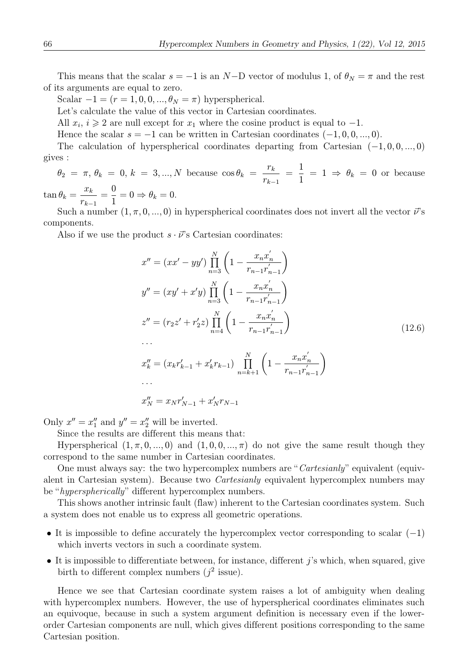This means that the scalar  $s = -1$  is an N-D vector of modulus 1, of  $\theta_N = \pi$  and the rest of its arguments are equal to zero.

Scalar  $-1 = (r = 1, 0, 0, \dots, \theta_N = \pi)$  hyperspherical.

Let's calculate the value of this vector in Cartesian coordinates.

All  $x_i$ ,  $i \geq 2$  are null except for  $x_1$  where the cosine product is equal to -1.

Hence the scalar  $s = -1$  can be written in Cartesian coordinates  $(-1, 0, 0, ..., 0)$ .

The calculation of hyperspherical coordinates departing from Cartesian  $(-1, 0, 0, ..., 0)$ gives :

 $\theta_2 = \pi, \, \theta_k = 0, \, k = 3, ..., N$  because  $\cos \theta_k = \frac{r_k}{r_k}$  $r_{k-1}$  $=\frac{1}{1}$  $\frac{1}{1} = 1 \Rightarrow \theta_k = 0$  or because

 $\tan \theta_k = \frac{x_k}{\pi}$  $r_{k-1}$  $=$  $\frac{0}{1}$  $\frac{0}{1} = 0 \Rightarrow \theta_k = 0.$ 

Such a number  $(1, \pi, 0, ..., 0)$  in hyperspherical coordinates does not invert all the vector  $\vec{\nu}$ 's components.

Also if we use the product  $s \cdot \vec{\nu}$ 's Cartesian coordinates:

$$
x'' = (xx' - yy') \prod_{n=3}^{N} \left( 1 - \frac{x_n x'_n}{r_{n-1} r'_{n-1}} \right)
$$
  
\n
$$
y'' = (xy' + x'y) \prod_{n=3}^{N} \left( 1 - \frac{x_n x'_n}{r_{n-1} r'_{n-1}} \right)
$$
  
\n
$$
z'' = (r_2 z' + r'_2 z) \prod_{n=4}^{N} \left( 1 - \frac{x_n x'_n}{r_{n-1} r'_{n-1}} \right)
$$
  
\n...  
\n
$$
x''_k = (x_k r'_{k-1} + x'_k r_{k-1}) \prod_{n=k+1}^{N} \left( 1 - \frac{x_n x'_n}{r_{n-1} r'_{n-1}} \right)
$$
  
\n...  
\n
$$
x''_N = x_N r'_{N-1} + x'_N r_{N-1}
$$
  
\n(12.6)

Only  $x'' = x_1''$  and  $y'' = x_2''$  will be inverted.

Since the results are different this means that:

Hyperspherical  $(1, \pi, 0, \ldots, 0)$  and  $(1, 0, 0, \ldots, \pi)$  do not give the same result though they correspond to the same number in Cartesian coordinates.

One must always say: the two hypercomplex numbers are "Cartesianly" equivalent (equivalent in Cartesian system). Because two Cartesianly equivalent hypercomplex numbers may be "hyperspherically" different hypercomplex numbers.

This shows another intrinsic fault (flaw) inherent to the Cartesian coordinates system. Such a system does not enable us to express all geometric operations.

- It is impossible to define accurately the hypercomplex vector corresponding to scalar  $(-1)$ which inverts vectors in such a coordinate system.
- $\bullet$  It is impossible to differentiate between, for instance, different j's which, when squared, give birth to different complex numbers  $(j^2$  issue).

Hence we see that Cartesian coordinate system raises a lot of ambiguity when dealing with hypercomplex numbers. However, the use of hyperspherical coordinates eliminates such an equivoque, because in such a system argument definition is necessary even if the lowerorder Cartesian components are null, which gives different positions corresponding to the same Cartesian position.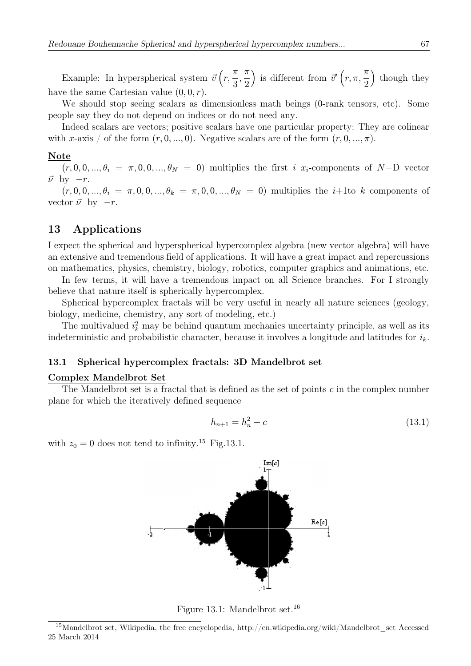Example: In hyperspherical system  $\vec{v}(r,$ π 3 , π 2 ) is different from  $\vec{v}'(r, \pi,$ π 2 ) though they have the same Cartesian value  $(0, 0, r)$ .

We should stop seeing scalars as dimensionless math beings (0-rank tensors, etc). Some people say they do not depend on indices or do not need any.

Indeed scalars are vectors; positive scalars have one particular property: They are colinear with x-axis / of the form  $(r, 0, ..., 0)$ . Negative scalars are of the form  $(r, 0, ..., \pi)$ .

#### Note

 $(r, 0, 0, \ldots, \theta_i = \pi, 0, 0, \ldots, \theta_N = 0)$  multiplies the first i  $x_i$ -components of N-D vector  $\vec{\nu}$  by  $-r$ .

 $(r, 0, 0, ..., \theta_i = \pi, 0, 0, ..., \theta_k = \pi, 0, 0, ..., \theta_N = 0)$  multiplies the *i*+1to k components of vector  $\vec{\nu}$  by  $-r$ .

# 13 Applications

I expect the spherical and hyperspherical hypercomplex algebra (new vector algebra) will have an extensive and tremendous field of applications. It will have a great impact and repercussions on mathematics, physics, chemistry, biology, robotics, computer graphics and animations, etc.

In few terms, it will have a tremendous impact on all Science branches. For I strongly believe that nature itself is spherically hypercomplex.

Spherical hypercomplex fractals will be very useful in nearly all nature sciences (geology, biology, medicine, chemistry, any sort of modeling, etc.)

The multivalued  $i_k^2$  may be behind quantum mechanics uncertainty principle, as well as its indeterministic and probabilistic character, because it involves a longitude and latitudes for  $i_k$ .

#### 13.1 Spherical hypercomplex fractals: 3D Mandelbrot set

#### Complex Mandelbrot Set

The Mandelbrot set is a fractal that is defined as the set of points  $c$  in the complex number plane for which the iteratively defined sequence

$$
h_{n+1} = h_n^2 + c \tag{13.1}
$$

with  $z_0 = 0$  does not tend to infinity.<sup>15</sup> Fig.13.1.



Figure 13.1: Mandelbrot set.<sup>16</sup>

<sup>&</sup>lt;sup>15</sup>Mandelbrot set, Wikipedia, the free encyclopedia, http://en.wikipedia.org/wiki/Mandelbrot\_set Accessed 25 March 2014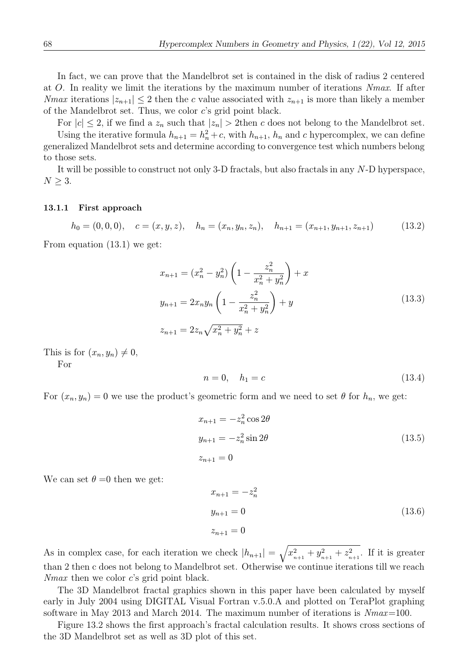In fact, we can prove that the Mandelbrot set is contained in the disk of radius 2 centered at O. In reality we limit the iterations by the maximum number of iterations Nmax. If after *Nmax* iterations  $|z_{n+1}| \leq 2$  then the c value associated with  $z_{n+1}$  is more than likely a member of the Mandelbrot set. Thus, we color c's grid point black.

For  $|c| \leq 2$ , if we find a  $z_n$  such that  $|z_n| > 2$ then c does not belong to the Mandelbrot set. Using the iterative formula  $h_{n+1} = h_n^2 + c$ , with  $h_{n+1}$ ,  $h_n$  and c hypercomplex, we can define generalized Mandelbrot sets and determine according to convergence test which numbers belong to those sets.

It will be possible to construct not only 3-D fractals, but also fractals in any N-D hyperspace,  $N \geq 3$ .

#### 13.1.1 First approach

$$
h_0 = (0, 0, 0), \quad c = (x, y, z), \quad h_n = (x_n, y_n, z_n), \quad h_{n+1} = (x_{n+1}, y_{n+1}, z_{n+1})
$$
(13.2)

From equation (13.1) we get:

$$
x_{n+1} = (x_n^2 - y_n^2) \left( 1 - \frac{z_n^2}{x_n^2 + y_n^2} \right) + x
$$
  
\n
$$
y_{n+1} = 2x_n y_n \left( 1 - \frac{z_n^2}{x_n^2 + y_n^2} \right) + y
$$
  
\n
$$
z_{n+1} = 2z_n \sqrt{x_n^2 + y_n^2} + z
$$
\n(13.3)

This is for  $(x_n, y_n) \neq 0$ ,

For

$$
n = 0, \quad h_1 = c \tag{13.4}
$$

For  $(x_n, y_n) = 0$  we use the product's geometric form and we need to set  $\theta$  for  $h_n$ , we get:

$$
x_{n+1} = -z_n^2 \cos 2\theta
$$
  
\n
$$
y_{n+1} = -z_n^2 \sin 2\theta
$$
  
\n
$$
z_{n+1} = 0
$$
\n(13.5)

We can set  $\theta = 0$  then we get:

$$
x_{n+1} = -z_n^2
$$
  
\n
$$
y_{n+1} = 0
$$
  
\n
$$
z_{n+1} = 0
$$
\n(13.6)

As in complex case, for each iteration we check  $|h_{n+1}| = \sqrt{x_{n+1}^2 + y_{n+1}^2 + z_{n+1}^2}$ . If it is greater than 2 then c does not belong to Mandelbrot set. Otherwise we continue iterations till we reach *Nmax* then we color  $c$ 's grid point black.

The 3D Mandelbrot fractal graphics shown in this paper have been calculated by myself early in July 2004 using DIGITAL Visual Fortran v.5.0.A and plotted on TeraPlot graphing software in May 2013 and March 2014. The maximum number of iterations is Nmax=100.

Figure 13.2 shows the first approach's fractal calculation results. It shows cross sections of the 3D Mandelbrot set as well as 3D plot of this set.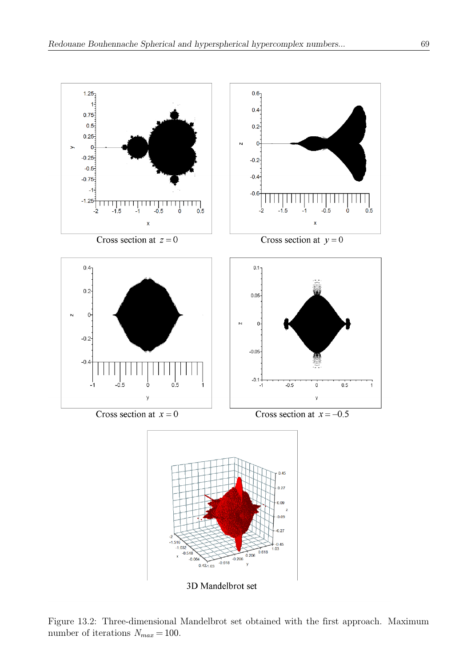

3D Mandelbrot set

Figure 13.2: Three-dimensional Mandelbrot set obtained with the first approach. Maximum number of iterations  $N_{max} = 100$ .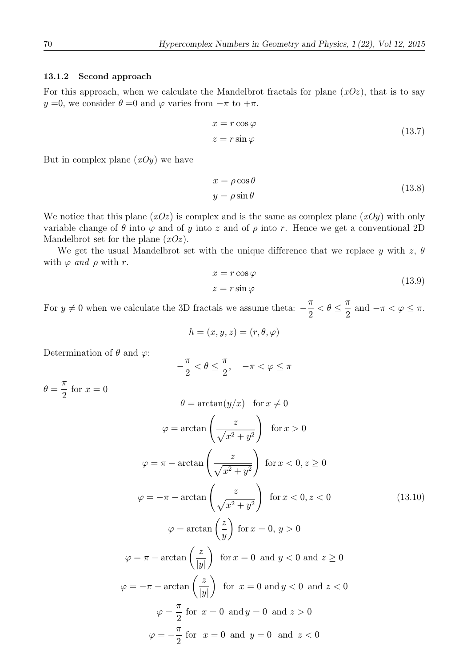### 13.1.2 Second approach

For this approach, when we calculate the Mandelbrot fractals for plane  $(xOz)$ , that is to say  $y =0$ , we consider  $\theta =0$  and  $\varphi$  varies from  $-\pi$  to  $+\pi$ .

$$
x = r \cos \varphi
$$
  
\n
$$
z = r \sin \varphi
$$
\n(13.7)

But in complex plane  $(xOy)$  we have

$$
x = \rho \cos \theta
$$
  

$$
y = \rho \sin \theta
$$
 (13.8)

We notice that this plane  $(xOz)$  is complex and is the same as complex plane  $(xOy)$  with only variable change of  $\theta$  into  $\varphi$  and of y into z and of  $\rho$  into r. Hence we get a conventional 2D Mandelbrot set for the plane  $(xOz)$ .

We get the usual Mandelbrot set with the unique difference that we replace y with z,  $\theta$ with  $\varphi$  and  $\rho$  with r.

$$
x = r \cos \varphi
$$
  
\n
$$
z = r \sin \varphi
$$
\n(13.9)

For  $y \neq 0$  when we calculate the 3D fractals we assume theta:  $-\frac{\pi}{2} < \theta \leq$ π  $\frac{\pi}{2}$  and  $-\pi < \varphi \leq \pi$ .

$$
h = (x, y, z) = (r, \theta, \varphi)
$$

Determination of  $\theta$  and  $\varphi$ :

$$
-\frac{\pi}{2} < \theta \le \frac{\pi}{2}, \quad -\pi < \varphi \le \pi
$$

 $\theta = \frac{\pi}{2}$ 2 for  $x = 0$ 

$$
\theta = \arctan(y/x) \text{ for } x \neq 0
$$
  

$$
\varphi = \arctan\left(\frac{z}{\sqrt{x^2 + y^2}}\right) \text{ for } x > 0
$$
  

$$
\varphi = \pi - \arctan\left(\frac{z}{\sqrt{x^2 + y^2}}\right) \text{ for } x < 0, z \ge 0
$$
  

$$
\varphi = -\pi - \arctan\left(\frac{z}{\sqrt{x^2 + y^2}}\right) \text{ for } x < 0, z < 0
$$
  

$$
\varphi = \arctan\left(\frac{z}{y}\right) \text{ for } x = 0, y > 0
$$
  

$$
\varphi = \pi - \arctan\left(\frac{z}{|y|}\right) \text{ for } x = 0 \text{ and } y < 0 \text{ and } z \ge 0
$$
  

$$
\varphi = -\pi - \arctan\left(\frac{z}{|y|}\right) \text{ for } x = 0 \text{ and } y < 0 \text{ and } z < 0
$$
  

$$
\varphi = \frac{\pi}{2} \text{ for } x = 0 \text{ and } y = 0 \text{ and } z > 0
$$
  

$$
\varphi = -\frac{\pi}{2} \text{ for } x = 0 \text{ and } y = 0 \text{ and } z < 0
$$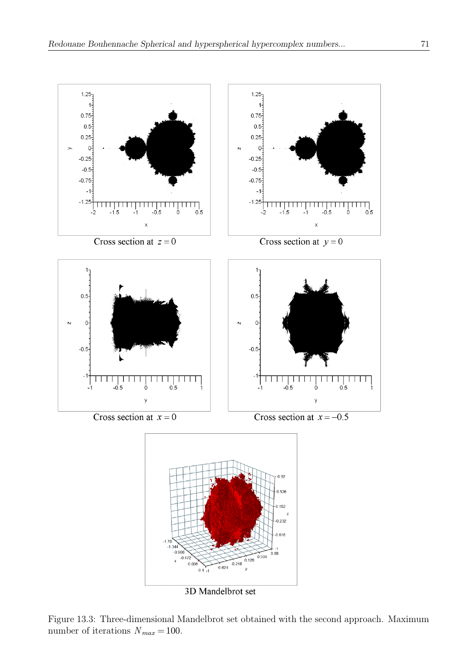

3D Mandelbrot set

Figure 13.3: Three-dimensional Mandelbrot set obtained with the second approach. Maximum number of iterations  $N_{max} = 100$ .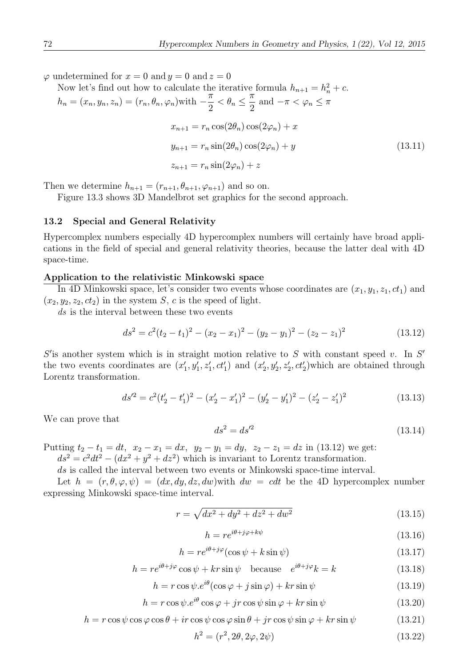$\varphi$  undetermined for  $x = 0$  and  $y = 0$  and  $z = 0$ 

Now let's find out how to calculate the iterative formula  $h_{n+1} = h_n^2 + c$ .  $h_n = (x_n, y_n, z_n) = (r_n, \theta_n, \varphi_n)$ with  $-\frac{\pi}{2} < \theta_n \leq$ π  $\frac{\pi}{2}$  and  $-\pi < \varphi_n \leq \pi$  $x_{n+1} = r_n \cos(2\theta_n) \cos(2\varphi_n) + x$  $y_{n+1} = r_n \sin(2\theta_n) \cos(2\varphi_n) + y$  $z_{n+1} = r_n \sin(2\varphi_n) + z$ (13.11)

Then we determine  $h_{n+1} = (r_{n+1}, \theta_{n+1}, \varphi_{n+1})$  and so on.

Figure 13.3 shows 3D Mandelbrot set graphics for the second approach.

#### 13.2 Special and General Relativity

Hypercomplex numbers especially 4D hypercomplex numbers will certainly have broad applications in the field of special and general relativity theories, because the latter deal with 4D space-time.

#### Application to the relativistic Minkowski space

In 4D Minkowski space, let's consider two events whose coordinates are  $(x_1, y_1, z_1, ct_1)$  and  $(x_2, y_2, z_2, ct_2)$  in the system S, c is the speed of light.

ds is the interval between these two events

$$
ds^{2} = c^{2}(t_{2} - t_{1})^{2} - (x_{2} - x_{1})^{2} - (y_{2} - y_{1})^{2} - (z_{2} - z_{1})^{2}
$$
\n(13.12)

 $S'$  is another system which is in straight motion relative to S with constant speed v. In  $S'$ the two events coordinates are  $(x'_1, y'_1, z'_1, ct'_1)$  and  $(x'_2, y'_2, z'_2, ct'_2)$  which are obtained through Lorentz transformation.

$$
ds'^2 = c^2(t'_2 - t'_1)^2 - (x'_2 - x'_1)^2 - (y'_2 - y'_1)^2 - (z'_2 - z'_1)^2
$$
\n(13.13)

We can prove that

$$
ds^2 = ds^2 \tag{13.14}
$$

Putting  $t_2 - t_1 = dt$ ,  $x_2 - x_1 = dx$ ,  $y_2 - y_1 = dy$ ,  $z_2 - z_1 = dz$  in (13.12) we get:

 $ds^2 = c^2 dt^2 - (dx^2 + y^2 + dz^2)$  which is invariant to Lorentz transformation.

ds is called the interval between two events or Minkowski space-time interval.

Let  $h = (r, \theta, \varphi, \psi) = (dx, dy, dz, dw)$  with  $dw = cdt$  be the 4D hypercomplex number expressing Minkowski space-time interval.

$$
r = \sqrt{dx^2 + dy^2 + dz^2 + dw^2} \tag{13.15}
$$

$$
h = re^{i\theta + j\varphi + k\psi} \tag{13.16}
$$

$$
h = re^{i\theta + j\varphi}(\cos\psi + k\sin\psi)
$$
\n(13.17)

$$
h = re^{i\theta + j\varphi} \cos \psi + kr \sin \psi \quad \text{because} \quad e^{i\theta + j\varphi} k = k \tag{13.18}
$$

$$
h = r \cos \psi . e^{i\theta} (\cos \varphi + j \sin \varphi) + kr \sin \psi \tag{13.19}
$$

$$
h = r \cos \psi . e^{i\theta} \cos \varphi + jr \cos \psi \sin \varphi + kr \sin \psi \tag{13.20}
$$

$$
h = r \cos \psi \cos \varphi \cos \theta + ir \cos \psi \cos \varphi \sin \theta + jr \cos \psi \sin \varphi + kr \sin \psi \tag{13.21}
$$

$$
h^2 = (r^2, 2\theta, 2\varphi, 2\psi) \tag{13.22}
$$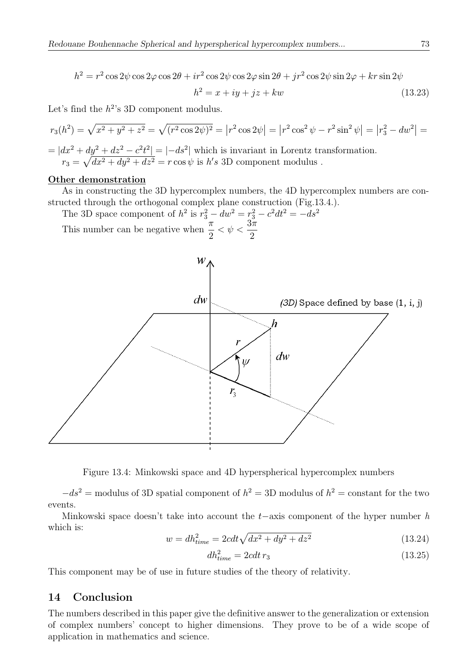$$
h^{2} = r^{2} \cos 2\psi \cos 2\varphi \cos 2\theta + ir^{2} \cos 2\psi \cos 2\varphi \sin 2\theta + jr^{2} \cos 2\psi \sin 2\varphi + kr \sin 2\psi
$$
  

$$
h^{2} = x + iy + jz + kw
$$
 (13.23)

Let's find the  $h^{2}$ 's 3D component modulus.

$$
r_3(h^2) = \sqrt{x^2 + y^2 + z^2} = \sqrt{(r^2 \cos 2\psi)^2} = |r^2 \cos 2\psi| = |r^2 \cos^2 \psi - r^2 \sin^2 \psi| = |r_3^2 - dw^2| =
$$

 $= |dx^2 + dy^2 + dz^2 - c^2t^2| = |-ds^2|$  which is invariant in Lorentz transformation.  $r_3 = \sqrt{dx^2 + dy^2 + dz^2} = r \cos \psi$  is h's 3D component modulus.

## Other demonstration

As in constructing the 3D hypercomplex numbers, the 4D hypercomplex numbers are constructed through the orthogonal complex plane construction (Fig.13.4.).

The 3D space component of  $h^2$  is  $r_3^2 - dw^2 = r_3^2 - c^2 dt^2 = -ds^2$ This number can be negative when  $\frac{\pi}{2} < \psi < \frac{3\pi}{2}$ 



Figure 13.4: Minkowski space and 4D hyperspherical hypercomplex numbers

 $-ds<sup>2</sup>$  = modulus of 3D spatial component of  $h<sup>2</sup>$  = 3D modulus of  $h<sup>2</sup>$  = constant for the two events.

Minkowski space doesn't take into account the  $t-$ axis component of the hyper number h which is:

$$
w = dh_{time}^2 = 2cdt\sqrt{dx^2 + dy^2 + dz^2}
$$
\n(13.24)

$$
dh_{time}^2 = 2cdt\,r_3\tag{13.25}
$$

This component may be of use in future studies of the theory of relativity.

## 14 Conclusion

The numbers described in this paper give the definitive answer to the generalization or extension of complex numbers' concept to higher dimensions. They prove to be of a wide scope of application in mathematics and science.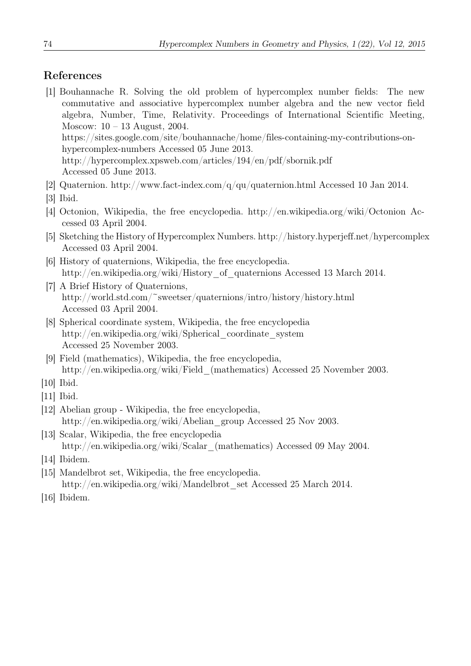# References

- [1] Bouhannache R. Solving the old problem of hypercomplex number fields: The new commutative and associative hypercomplex number algebra and the new vector field algebra, Number, Time, Relativity. Proceedings of International Scientific Meeting, Moscow: 10 – 13 August, 2004. https://sites.google.com/site/bouhannache/home/files-containing-my-contributions-onhypercomplex-numbers Accessed 05 June 2013. http://hypercomplex.xpsweb.com/articles/194/en/pdf/sbornik.pdf Accessed 05 June 2013.
- [2] Quaternion. http://www.fact-index.com/q/qu/quaternion.html Accessed 10 Jan 2014.
- [3] Ibid.
- [4] Octonion, Wikipedia, the free encyclopedia. http://en.wikipedia.org/wiki/Octonion Accessed 03 April 2004.
- [5] Sketching the History of Hypercomplex Numbers. http://history.hyperjeff.net/hypercomplex Accessed 03 April 2004.
- [6] History of quaternions, Wikipedia, the free encyclopedia. http://en.wikipedia.org/wiki/History of quaternions Accessed 13 March 2014.
- [7] A Brief History of Quaternions, http://world.std.com/~sweetser/quaternions/intro/history/history.html Accessed 03 April 2004.
- [8] Spherical coordinate system, Wikipedia, the free encyclopedia http://en.wikipedia.org/wiki/Spherical\_coordinate\_system Accessed 25 November 2003.
- [9] Field (mathematics), Wikipedia, the free encyclopedia, http://en.wikipedia.org/wiki/Field\_(mathematics) Accessed 25 November 2003.

- [11] Ibid.
- [12] Abelian group Wikipedia, the free encyclopedia, http://en.wikipedia.org/wiki/Abelian\_group Accessed 25 Nov 2003.
- [13] Scalar, Wikipedia, the free encyclopedia http://en.wikipedia.org/wiki/Scalar\_(mathematics) Accessed 09 May 2004.
- [14] Ibidem.
- [15] Mandelbrot set, Wikipedia, the free encyclopedia. http://en.wikipedia.org/wiki/Mandelbrot\_set Accessed 25 March 2014.
- [16] Ibidem.

<sup>[10]</sup> Ibid.